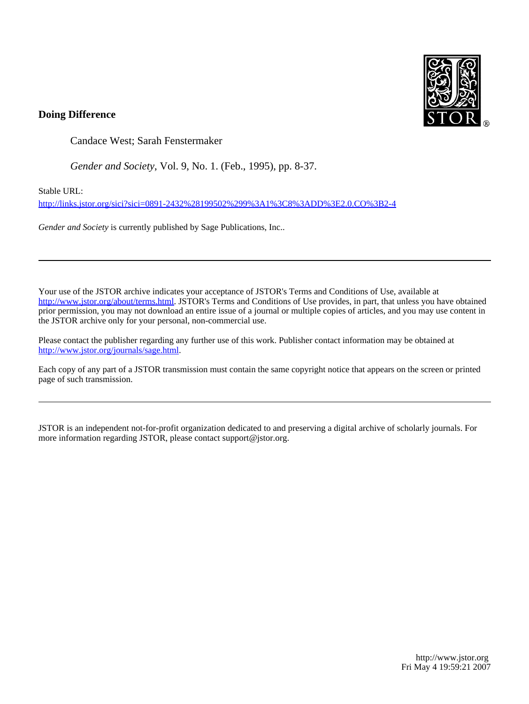

# **Doing Difference**

Candace West; Sarah Fenstermaker

*Gender and Society*, Vol. 9, No. 1. (Feb., 1995), pp. 8-37.

Stable URL:

<http://links.jstor.org/sici?sici=0891-2432%28199502%299%3A1%3C8%3ADD%3E2.0.CO%3B2-4>

*Gender and Society* is currently published by Sage Publications, Inc..

Your use of the JSTOR archive indicates your acceptance of JSTOR's Terms and Conditions of Use, available at [http://www.jstor.org/about/terms.html.](http://www.jstor.org/about/terms.html) JSTOR's Terms and Conditions of Use provides, in part, that unless you have obtained prior permission, you may not download an entire issue of a journal or multiple copies of articles, and you may use content in the JSTOR archive only for your personal, non-commercial use.

Please contact the publisher regarding any further use of this work. Publisher contact information may be obtained at <http://www.jstor.org/journals/sage.html>.

Each copy of any part of a JSTOR transmission must contain the same copyright notice that appears on the screen or printed page of such transmission.

JSTOR is an independent not-for-profit organization dedicated to and preserving a digital archive of scholarly journals. For more information regarding JSTOR, please contact support@jstor.org.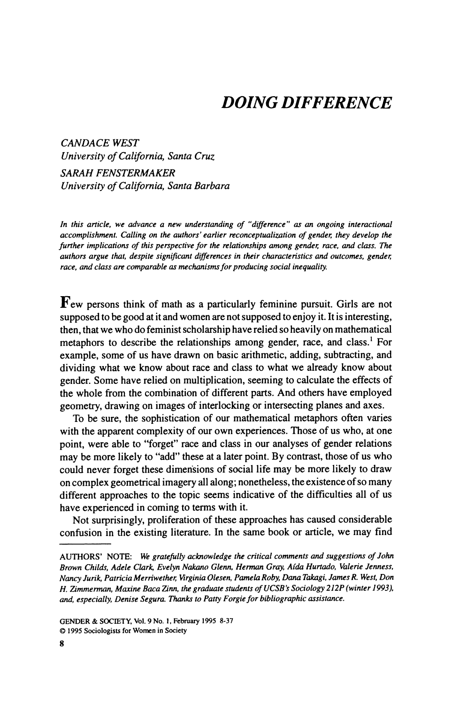# *DOING DIFFERENCE*

*CANDACE WEST University of California, Santa Cruz* 

*SARAH FENSTERMA KER University of California, Santa Barbara* 

*In this article, we advance a new understanding of "difference" as an ongoing interactional accomplishment. Calling on the authors' earlier reconceptualization of gender; they develop the further implications of this perspective for the relationships among gender; race, and class. The authors argue that, despite significant differences in their characteristics and outcomes, gender; race, and class are comparable as mechanisms for producing social inequality.* 

 $\mathbf{F}_{\text{ew}}$  persons think of math as a particularly feminine pursuit. Girls are not supposed to be good at it and women are not supposed to enjoy it. It is interesting, then, that we who do feminist scholarship have relied so heavily on mathematical metaphors to describe the relationships among gender, race, and class.' For example, some of us have drawn on basic arithmetic, adding, subtracting, and dividing what we know about race and class to what we already know about gender. Some have relied on multiplication, seeming to calculate the effects of the whole from the combination of different parts. And others have employed geometry, drawing on images of interlocking or intersecting planes and axes.

To be sure, the sophistication of our mathematical metaphors often varies with the apparent complexity of our own experiences. Those of us who, at one point, were able to "forget" race and class in our analyses of gender relations may be more likely to "add" these at a later point. By contrast, those of us who could never forget these dimensions of social life may be more likely to draw on complex geometrical imagery all along; nonetheless, the existence of so many different approaches to the topic seems indicative of the difficulties all of us have experienced in coming to terms with it.

Not surprisingly, proliferation of these approaches has caused considerable confusion in the existing literature. In the same book or article, we may find

**AUTHORS' NOTE:** *We gratefully acknowledge the critical comments and suggestions of John Brown Childs, Adele Clark, Evelyn Nakano Glenn, Herman Gray.* **Ai&** *Hurtado, Valerie Jenness, Nancy Jurik, Patricia Merriwethez Krginia Olesen, Pamela Roby, Dana Takagi, James R. West, Don H. Zimmerman, Maxine Baca Zinn, the graduate students of UCSB's Sociology 212P (winter 1993), and, especially, Denise Segura. Thanks to Patty Forgie for bibliographic assistance.* 

**GENDER** & SOCIETY, Vol. **<sup>9</sup>**No. I, **February 1995** 8-37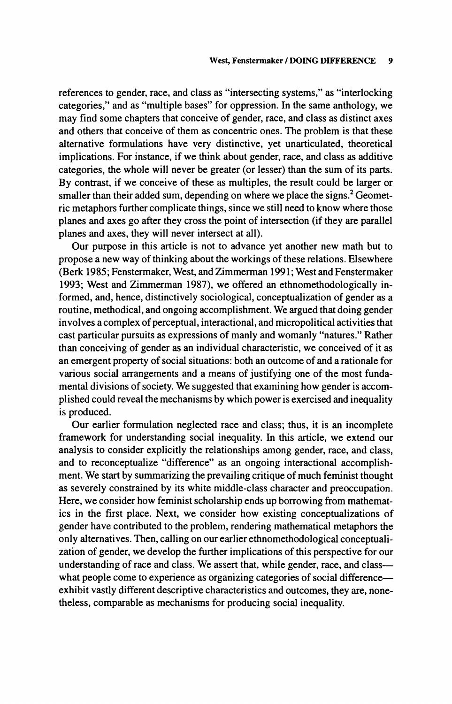references to gender, race, and class as "intersecting systems," as "interlocking categories," and as "multiple bases" for oppression. In the same anthology, we may find some chapters that conceive of gender, race, and class as distinct axes and others that conceive of them as concentric ones. The problem is that these alternative formulations have very distinctive, yet unarticulated, theoretical implications. For instance, if we think about gender, race, and class as additive categories, the whole will never be greater (or lesser) than the sum of its parts. By contrast, if we conceive of these as multiples, the result could be larger or smaller than their added sum, depending on where we place the signs. $2$  Geometric metaphors further complicate things, since we still need to know where those planes and axes go after they cross the point of intersection (if they are parallel planes and axes, they will never intersect at all).

Our purpose in this article is not to advance yet another new math but to propose a new way of thinking about the workings of these relations. Elsewhere (Berk 1985; Fenstermaker, West, and Zimmerman 1991; West and Fenstermaker 1993; West and Zimmerman 1987), we offered an ethnomethodologically informed, and, hence, distinctively sociological, conceptualization of gender as a routine, methodical, and ongoing accomplishment. We argued that doing gender involves acomplex of perceptual, interactional, and micropolitical activities that cast particular pursuits as expressions of manly and womanly "natures." Rather than conceiving of gender as an individual characteristic, we conceived of it as an emergent property of social situations: both an outcome of and a rationale for various social arrangements and a means of justifying one of the most fundamental divisions of society. We suggested that examining how gender is accomplished could reveal the mechanisms by which power is exercised and inequality is produced.

Our earlier formulation neglected race and class; thus, it is an incomplete framework for understanding social inequality. In this article, we extend our analysis to consider explicitly the relationships among gender, race, and class, and to reconceptualize "difference" as an ongoing interactional accomplishment. We start by summarizing the prevailing critique of much feminist thought as severely constrained by its white middle-class character and preoccupation. Here, we consider how feminist scholarship ends up borrowing from mathematics in the first place. Next, we consider how existing conceptualizations of gender have contributed to the problem, rendering mathematical metaphors the only alternatives. Then, calling on our earlier ethnomethodological conceptualization of gender, we develop the further implications of this perspective for our understanding of race and class. We assert that, while gender, race, and classwhat people come to experience as organizing categories of social difference-exhibit vastly different descriptive characteristics and outcomes, they are, nonetheless, comparable as mechanisms for producing social inequality.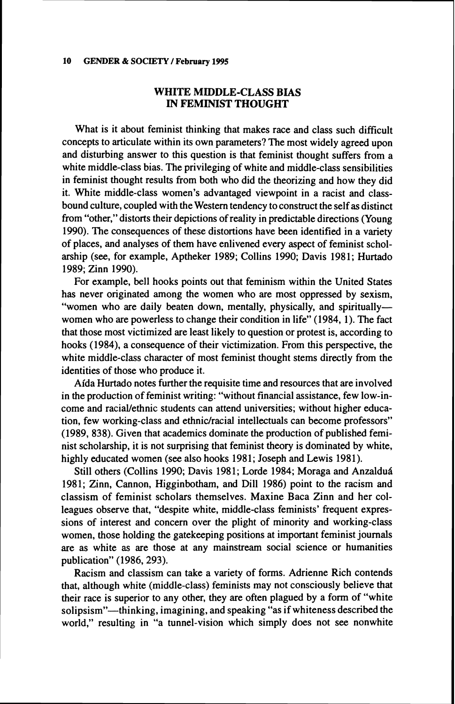#### **10 GENDER** & **SOCIETYI February 1995**

## **WHITE MIDDLE-CLASS BIAS IN FEMINIST THOUGHT**

What is it about feminist thinking that makes race and class such difficult concepts to articulate within its own parameters? The most widely agreed upon and disturbing answer to this question is that feminist thought suffers from a white middle-class bias. The privileging of white and middle-class sensibilities in feminist thought results from both who did the theorizing and how they did it. White middle-class women's advantaged viewpoint in a racist and classbound culture, coupled with the Western tendency to construct the self as distinct from "other," distorts their depictions of reality in predictable directions (Young 1990). The consequences of these distortions have been identified in a variety of places, and analyses of them have enlivened every aspect of feminist scholarship (see, for example, Aptheker 1989; Collins 1990; Davis 1981; Hurtado 1989; Zinn 1990).

For example, bell hooks points out that feminism within the United States has never originated among the women who are most oppressed by sexism, "women who are daily beaten down, mentally, physically, and spirituallywomen who are powerless to change their condition in life" (1984, 1). The fact that those most victimized are least likely to question or protest is, according to hooks (1984), a consequence of their victimization. From this perspective, the white middle-class character of most feminist thought stems directly from the identities of those who produce it.

Aida Hurtado notes further the requisite time and resources that are involved in the production of feminist writing: "without financial assistance, few low-income and racial/ethnic students can attend universities; without higher education, few working-class and ethnic/racial intellectuals can become professors" (1989, 838). Given that academics dominate the production of published feminist scholarship, it is not surprising that feminist theory is dominated by white, highly educated women (see also hooks 1981; Joseph and Lewis 1981).

Still others (Collins 1990; Davis 1981; Lorde 1984; Moraga and Anzaldua 1981; Zinn, Cannon, Higginbotham, and Dill 1986) point to the racism and classism of feminist scholars themselves. Maxine Baca Zinn and her colleagues observe that, "despite white, middle-class feminists' frequent expressions of interest and concern over the plight of minority and working-class women, those holding the gatekeeping positions at important feminist journals are as white as are those at any mainstream social science or humanities publication" (1986,293).

Racism and classism can take a variety of forms. Adrienne Rich contends that, although white (middle-class) feminists may not consciously believe that their race is superior to any other, they are often plagued by a form of "white solipsism"-thinking, imagining, and speaking "as if whiteness described the world," resulting in "a tunnel-vision which simply does not see nonwhite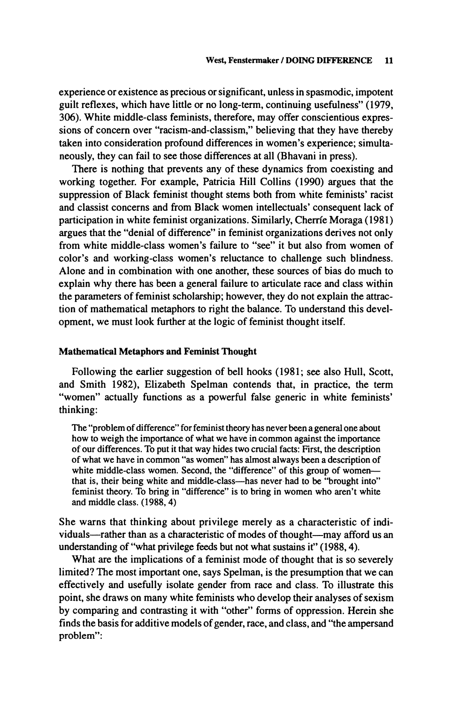experience or existence as precious or significant, unless in spasmodic, impotent guilt reflexes, which have little or no long-term, continuing usefulness" (1979, 306). White middle-class feminists, therefore, may offer conscientious expressions of concern over "racism-and-classism," believing that they have thereby taken into consideration profound differences in women's experience; simultaneously, they can fail to see those differences at all (Bhavani in press).

There is nothing that prevents any of these dynamics from coexisting and working together. For example, Patricia Hill Collins (1990) argues that the suppression of Black feminist thought stems both from white feminists' racist and classist concerns and from Black women intellectuals' consequent lack of participation in white feminist organizations. Similarly, Cherrie Moraga (1981) argues that the "denial of difference" in feminist organizations derives not only from white middle-class women's failure to "see" it but also from women of color's and working-class women's reluctance to challenge such blindness. Alone and in combination with one another, these sources of bias do much to explain why there has been a general failure to articulate race and class within the parameters of feminist scholarship; however, they do not explain the attraction of mathematical metaphors to right the balance. To understand this development, we must look further at the logic of feminist thought itself.

### **Mathematical Metaphors and Feminist Thought**

Following the earlier suggestion of bell hooks (1981; see also Hull, Scott, and Smith 1982). Elizabeth Spelman contends that, in practice, the term "women" actually functions as a powerful false generic in white feminists' thinking:

The "problem of difference" for feminist theory has never been a general one about how to weigh the importance of what we have in common against the importance of our differences. To put it that way hides two crucial facts: First, the description of what we have in common "as women" has almost always been a description of white middle-class women. Second, the "difference" of this group of womenthat is, their being white and middle-class-has never had to be "brought into" feminist theory. To bring in "difference" is to bring in women who aren't white and middle class. (1988.4)

She warns that thinking about privilege merely as a characteristic of individuals—rather than as a characteristic of modes of thought—may afford us an understanding of "what privilege feeds but not what sustains it" (1988.4).

What are the implications of a feminist mode of thought that is so severely limited? The most important one, says Spelman, is the presumption that we can effectively and usefully isolate gender from race and class. To illustrate this point, she draws on many white feminists who develop their analyses of sexism by comparing and contrasting it with "other" forms of oppression. Herein she finds the basis for additive models of gender, race, and class, and "the ampersand problem":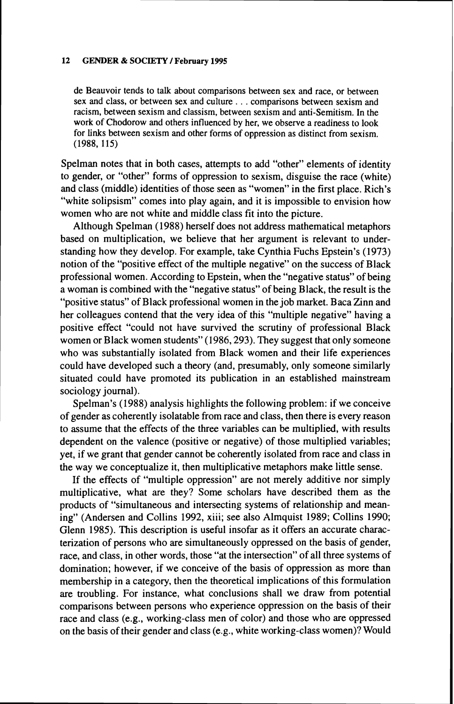### **12 GENDER** & **SOCIETY I February 1995**

de Beauvoir tends to talk about comparisons between sex and race, or between sex and class, or between sex and culture . . . comparisons between sexism and racism, between sexism and classism, between sexism and anti-Semitism. In the work of Chodorow and others influenced by her, we observe a readiness to look for links between sexism and other forms of oppression as distinct from sexism. (1988, 115)

Spelman notes that in both cases, attempts to add "other" elements of identity to gender, or "other" forms of oppression to sexism, disguise the race (white) and class (middle) identities of those seen as "women" in the first place. Rich's "white solipsism" comes into play again, and it is impossible to envision how women who are not white and middle class fit into the picture.

Although Spelman (1988) herself does not address mathematical metaphors based on multiplication, we believe that her argument is relevant to understanding how they develop. For example, take Cynthia Fuchs Epstein's (1973) notion of the "positive effect of the multiple negative" on the success of Black professional women. According to Epstein, when the "negative status" of being a woman is combined with the "negative status" of being Black, the result is the "positive status" of Black professional women in the job market. Baca Zinn and her colleagues contend that the very idea of this "multiple negative" having a positive effect "could not have survived the scrutiny of professional Black women or Black women students" (1986, 293). They suggest that only someone who was substantially isolated from Black women and their life experiences could have developed such a theory (and, presumably, only someone similarly situated could have promoted its publication in an established mainstream sociology journal).

Spelman's (1988) analysis highlights the following problem: if we conceive of gender as coherently isolatable from race and class, then there is every reason to assume that the effects of the three variables can be multiplied, with results dependent on the valence (positive or negative) of those multiplied variables; yet, if we grant that gender cannot be coherently isolated from race and class in the way we conceptualize it, then multiplicative metaphors make little sense.

If the effects of "multiple oppression" are not merely additive nor simply multiplicative, what are they? Some scholars have described them as the products of "simultaneous and intersecting systems of relationship and meaning" (Andersen and Collins 1992, xiii; see also Almquist 1989; Collins 1990; Glenn 1985). This description is useful insofar as it offers an accurate characterization of persons who are simultaneously oppressed on the basis of gender, race, and class, in other words, those "at the intersection" of all three systems of domination; however, if we conceive of the basis of oppression as more than membership in a category, then the theoretical implications of this formulation are troubling. For instance, what conclusions shall we draw from potential comparisons between persons who experience oppression on the basis of their race and class (e.g., working-class men of color) and those who are oppressed on the basis of their gender and class (e.g., white working-class women)? Would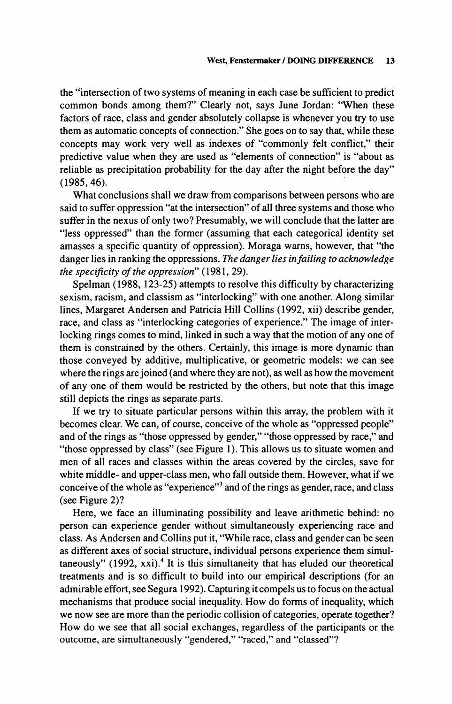the "intersection of two systems of meaning in each case be sufficient to predict common bonds among them?'Clearly not, says June Jordan: "When these factors of race, class and gender absolutely collapse is whenever you try to use them as automatic concepts of connection." She goes on to say that, while these concepts may work very well as indexes of "commonly felt conflict," their predictive value when they are used as "elements of connection" is "about as reliable as precipitation probability for the day after the night before the day" (1985,46).

What conclusions shall we draw from comparisons between persons who are said to suffer oppression "at the intersection" of all three systems and those who suffer in the nexus of only two? Presumably, we will conclude that the latter are "less oppressed" than the former (assuming that each categorical identity set amasses a specific quantity of oppression). Moraga warns, however, that "the danger lies in ranking the oppressions. *The danger lies in failing to acknowledge the specificity of the oppression"* (1981,29).

Spelman (1988, 123-25) attempts to resolve this difficulty by characterizing sexism, racism, and classism as "interlocking" with one another. Along similar lines, Margaret Andersen and Patricia Hill Collins (1992, xii) describe gender, race, and class as "interlocking categories of experience." The image of interlocking rings comes to mind, linked in such a way that the motion of any one of them is constrained by the others. Certainly, this image is more dynamic than those conveyed by additive, multiplicative, or geometric models: we can see where the rings are joined (and where they are not), as well as how the movement of any one of them would be restricted by the others, but note that this image still depicts the rings as separate parts.

If we try to situate particular persons within this array, the problem with it becomes clear. We can, of course, conceive of the whole as "oppressed people" and of the rings as "those oppressed by gender," "those oppressed by race," and "those oppressed by class" (see Figure 1). This allows us to situate women and men of all races and classes within the areas covered by the circles, save for white middle- and upper-class men, who fall outside them. However, what if we conceive of the whole as "experience"<sup>3</sup> and of the rings as gender, race, and class (see Figure 2)?

Here, we face an illuminating possibility and leave arithmetic behind: no person can experience gender without simultaneously experiencing race and class. As Andersen and Collins put it, "While race, class and gender can be seen as different axes of social structure, individual persons experience them simultaneously" (1992,  $xxi$ ).<sup>4</sup> It is this simultaneity that has eluded our theoretical treatments and is so difficult to build into our empirical descriptions (for an admirable effort, see Segura 1992). Capturing it compels us to focus on the actual mechanisms that produce social inequality. How do forms of inequality, which we now see are more than the periodic collision of categories, operate together? How do we see that all social exchanges, regardless of the participants or the outcome, are simultaneously "gendered," "raced," and "classed"?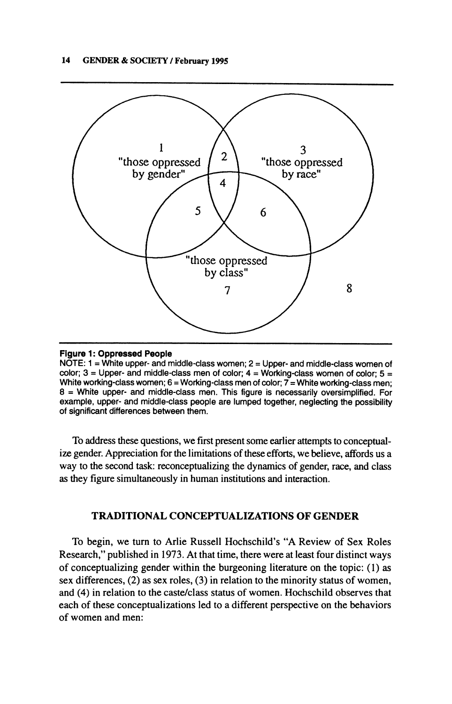

#### **Figure 1**:**Oppressed People**

**NOTE: 1** = White upper- and middle-class women; 2 = Upper- and middle-class women of color;  $3 =$  Upper- and middle-class men of color;  $4 =$  Working-class women of color;  $5 =$ White working-class women;  $6 =$  Working-class men of color;  $7 =$  White working-class men; 8 = White upper- and middle-class men. This figure is necessarily oversimplified. For example, upper- and middle-class people are lumped together, neglecting the possibility of significant differences between them.

To address these questions, we first present some earlier attempts to conceptualize gender. Appreciation for the limitations of these efforts, we believe, affords us a way to the second task: reconceptualizing the dynamics of gender, race, and class as they figure simultaneously in human institutions and interaction.

### **TRADITIONAL CONCEPTUALIZATIONS OF GENDER**

To begin, we turn to Arlie Russell Hochschild's "A Review of Sex Roles Research," published in 1973. At that time, there were at least four distinct ways of conceptualizing gender within the burgeoning literature on the topic: (1) as sex differences, (2) as sex roles, (3) in relation to the minority status of women, and (4) in relation to the caste/class status of women. Hochschild observes that each of these conceptualizations led to a different perspective on the behaviors of women and men: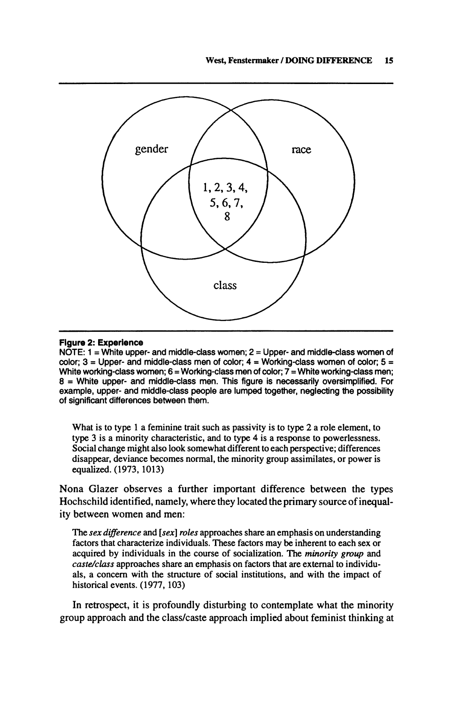

#### Figure 2: Experience

 $N$ OTE: 1 = White upper- and middle-class women: 2 = Upper- and middle-class women of color;  $3 =$  Upper- and middle-class men of color;  $4 =$  Working-class women of color;  $5 =$ White working-class women;  $6=$  Working-class men of color;  $7=$  White working-class men; 8 = White upper- and middle-class men. This figure is necessarily oversimplified. For example, upper- and middle-class people are lumped together, neglecting the possibility of significant differences between them.

What is to type **1** a feminine trait such as passivity is to type 2 a role element, to type **3**is a minority characteristic, and to type 4 is a response to powerlessness. Social change might also look somewhat different to each perspective; differences disappear, deviance becomes normal, the minority group assimilates, or power is equalized. **(1973, 1013)** 

Nona Glazer observes a further important difference between the types Hochschild identified, namely, where they located the primary source of inequality between women and men:

The *sex difference* and [sex] roles approaches share an emphasis on understanding factors that characterize individuals. These factors may be inherent to each sex or acquired by individuals in the course of socialization. The **minority** *group* and *caste/class* approaches share an emphasis on factors that are external to individuals, a concern with the structure of social institutions, and with the impact of historical events. **(1977, 103)** 

In retrospect, it is profoundly disturbing to contemplate what the minority group approach and the classlcaste approach implied about feminist thinking at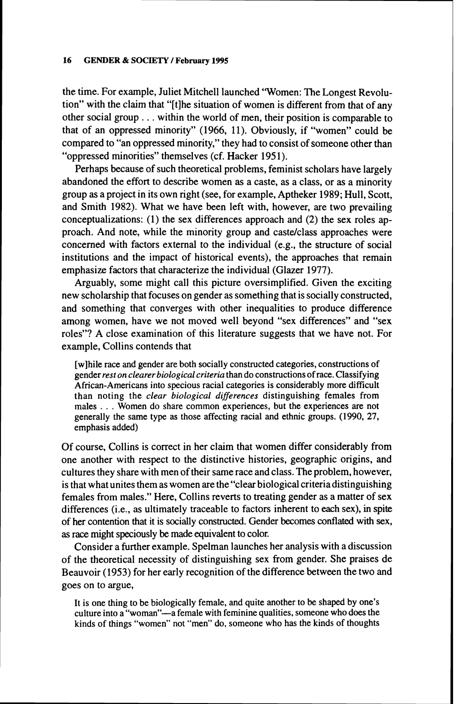### **16 GENDER** & **SOCIETYI February 1995**

the time. For example, Juliet Mitchell launched 'Women: The Longest Revolution" with the claim that "[tlhe situation of women is different from that of any other social group . . .within the world of men, their position is comparable to that of an oppressed minority" (1966, 11). Obviously, if "women" could be compared to "an oppressed minority," they had to consist of someone other than "oppressed minorities" themselves (cf. Hacker 1951).

Perhaps because of such theoretical problems, feminist scholars have largely abandoned the effort to describe women as a caste, as a class, or as a minority group **as** a project in its own right (see, for example, Aptheker 1989; Hull, Scott, and Smith 1982). What we have been left with, however, are two prevailing conceptualizations: (1) the sex differences approach and (2) the sex roles approach. And note, while the minority group and caste/class approaches were concerned with factors external to the individual (e.g., the structure of social institutions and the impact of historical events), the approaches that remain emphasize factors that characterize the individual (Glazer 1977).

Arguably, some might call this picture oversimplified. Given the exciting new scholarship that focuses on gender as something that is socially constructed, and something that converges with other inequalities to produce difference among women, have we not moved well beyond "sex differences" and "sex roles"? A close examination of this literature suggests that we have not. For example, Collins contends that

[wlhile race and gender are both socially constructed categories, constmctions of gender *rest on clearer biological criteria* than do constructions of race. Classifying African-Americans into specious racial categories is considerably more difficult than noting the *clear biological differences* distinguishing females from males . . . Women do share common experiences, but the experiences are not generally the same type as those affecting racial and ethnic groups. (1990, 27, emphasis added)

Of course, Collins is correct in her claim that women differ considerably from one another with respect to the distinctive histories, geographic origins, and cultures they share with men of their same race and class. The problem, however, is that what unites them as women are the "clear biological criteriadistinguishing females from males." Here, Collins reverts to treating gender **as** a matter of sex differences (i.e., as ultimately traceable to factors inherent to each sex), in spite of her contention that it is socially constructed. Gender becomes conflated with sex, as race might speciously be made equivalent to color.

Consider a further example. Spelman launches her analysis with a discussion of the theoretical necessity of distinguishing sex from gender. She praises de Beauvoir (1953) for her early recognition of the difference between the two and goes on to argue,

It is one thing to be biologically female, and quite another to be shaped by one's culture into a "woman"—a female with feminine qualities, someone who does the kinds of things "women" not "men" do, someone who has the kinds of thoughts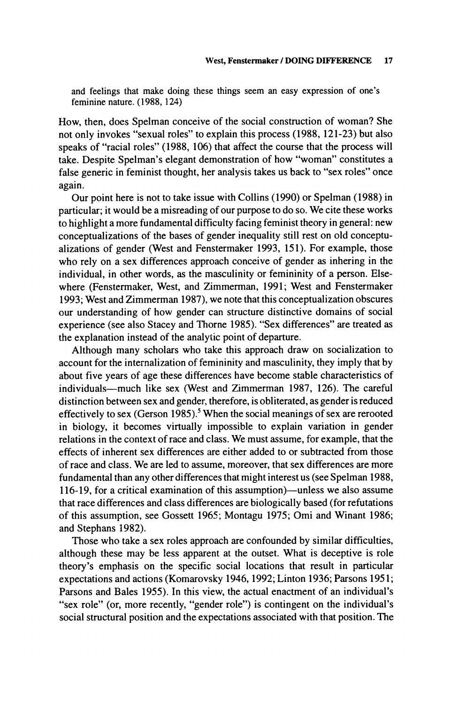and feelings that make doing these things seem an easy expression of one's feminine nature. (1988, **124)** 

How, then, does Spelman conceive of the social construction of woman? She not only invokes "sexual roles" to explain this process (1988, 121-23) but also speaks of "racial roles" (1988, 106) that affect the course that the process will take. Despite Spelman's elegant demonstration of how "woman" constitutes a false generic in feminist thought, her analysis takes us back to "sex roles" once again.

Our point here is not to take issue with Collins (1990) or Spelman (1988) in particular; it would be a misreading of our purpose to do so. We cite these works to highlight a more fundamental difficulty facing feminist theory in general: new conceptualizations of the bases of gender inequality still rest on old conceptualizations of gender (West and Fenstermaker 1993, 151). For example, those who rely on a sex differences approach conceive of gender as inhering in the individual, in other words, as the masculinity or femininity of a person. Elsewhere (Fenstermaker, West, and Zimmerman, 1991; West and Fenstermaker 1993; West and Zimmerman 1987), we note that this conceptualization obscures our understanding of how gender can structure distinctive domains of social experience (see also Stacey and Thorne 1985). "Sex differences" are treated as the explanation instead of the analytic point of departure.

Although many scholars who take this approach draw on socialization to account for the internalization of femininity and masculinity, they imply that by about five years of age these differences have become stable characteristics of individuals—much like sex (West and Zimmerman 1987, 126). The careful distinction between sex and gender, therefore, is obliterated, as gender is reduced effectively to sex (Gerson 1985).<sup>5</sup> When the social meanings of sex are rerooted in biology, it becomes virtually impossible to explain variation in gender relations in the context of race and class. We must assume, for example, that the effects of inherent sex differences are either added to or subtracted from those of race and class. We are led to assume, moreover, that sex differences are more fundamental than any other differences that might interest us (see Spelman 1988, 116-19, for a critical examination of this assumption)—unless we also assume that race differences and class differences are biologically based (for refutations of this assumption, see Gossett 1965; Montagu 1975; Omi and Winant 1986; and Stephans 1982).

Those who take a sex roles approach are confounded by similar difficulties, although these may be less apparent at the outset. What is deceptive is role theory's emphasis on the specific social locations that result in particular expectations and actions (Komarovsky 1946, 1992; Linton 1936; Parsons 195 1; Parsons and Bales 1955). In this view, the actual enactment of an individual's "sex role" (or, more recently, "gender role") is contingent on the individual's social structural position and the expectations associated with that position. The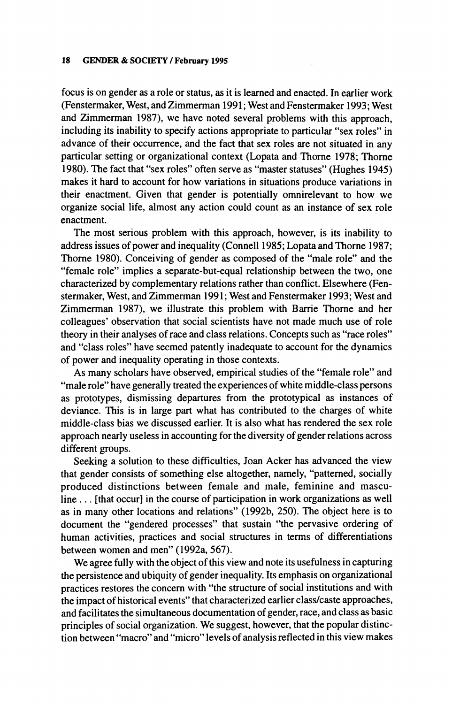### 18 **GENDER & SOCIETY** / February 1995

focus is on gender as a role or status, as it is learned and enacted. In earlier work (Fenstermaker, West, and Zimmerman 1991; West and Fenstermaker 1993; West and Zimmerman 1987), we have noted several problems with this approach, including its inability to specify actions appropriate to particular "sex roles" in advance of their occurrence, and the fact that sex roles are not situated in any particular setting or organizational context (Lopata and Thorne 1978; Thorne 1980). The fact that "sex roles" often serve as "master statuses" (Hughes 1945) makes it hard to account for how variations in situations produce variations in their enactment. Given that gender is potentially omnirelevant to how we organize social life, almost any action could count as an instance of sex role enactment.

The most serious problem with this approach, however, is its inability to address issues of power and inequality (Connell 1985; Lopata and Thorne 1987; Thorne 1980). Conceiving of gender as composed of the "male role" and the "female role" implies a separate-but-equal relationship between the two, one characterized by complementary relations rather than conflict. Elsewhere (Fenstermaker, West, and Zimmerman 1991; West and Fenstermaker 1993; West and Zimmerman 1987), we illustrate this problem with Barrie Thorne and her colleagues' observation that social scientists have not made much use of role theory in their analyses of race and class relations. Concepts such as "race roles" and "class roles" have seemed patently inadequate to account for the dynamics of power and inequality operating in those contexts.

As many scholars have observed, empirical studies of the "female role" and "male role" have generally treated the experiences of white middle-class persons as prototypes, dismissing departures from the prototypical as instances of deviance. This is in large part what has contributed to the charges of white middle-class bias we discussed earlier. It is also what has rendered the sex role approach nearly useless in accounting for the diversity of gender relations across different groups.

Seeking a solution to these difficulties, Joan Acker has advanced the view that gender consists of something else altogether, namely, "patterned, socially produced distinctions between female and male, feminine and masculine . . . [that occur] in the course of participation in work organizations as well as in many other locations and relations" (1992b, 250). The object here is to document the "gendered processes" that sustain "the pervasive ordering of human activities, practices and social structures in terms of differentiations between women and men" (1992a, 567).

We agree fully with the object of this view and note its usefulness in capturing the persistence and ubiquity of gender inequality. Its emphasis on organizational practices restores the concern with "the structure of social institutions and with the impact of historical events" that characterized earlier class/caste approaches, and facilitates the simultaneous documentation of gender, race, and class as basic principles of social organization. We suggest, however, that the popular distinction between "macro" and "micro" levels of analysis reflected in this view makes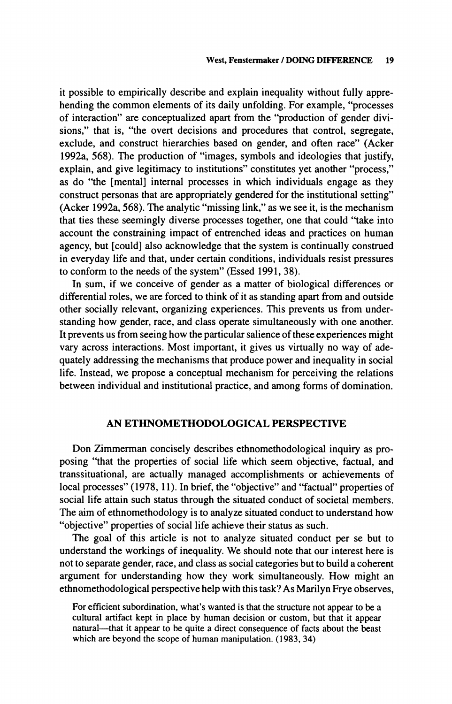it possible to empirically describe and explain inequality without fully apprehending the common elements of its daily unfolding. For example, "processes of interaction" are conceptualized apart from the "production of gender divisions," that is, "the overt decisions and procedures that control, segregate, exclude, and construct hierarchies based on gender, and often race" (Acker 1992a, 568). The production of "images, symbols and ideologies that justify, explain, and give legitimacy to institutions" constitutes yet another "process," as do "the [mental] internal processes in which individuals engage as they construct personas that are appropriately gendered for the institutional setting" (Acker 1992a, 568). The analytic "missing link," as we see it, is the mechanism that ties these seemingly diverse processes together, one that could "take into account the constraining impact of entrenched ideas and practices on human agency, but [could] also acknowledge that the system is continually construed in everyday life and that, under certain conditions, individuals resist pressures to conform to the needs of the system" (Essed 1991,38).

In sum, if we conceive of gender as a matter of biological differences or differential roles, we are forced to think of it as standing apart from and outside other socially relevant, organizing experiences. This prevents us from understanding how gender, race, and class operate simultaneously with one another. It prevents us from seeing how the particular salience of these experiences might vary across interactions. Most important, it gives us virtually no way of adequately addressing the mechanisms that produce power and inequality in social life. Instead, we propose a conceptual mechanism for perceiving the relations between individual and institutional practice, and among forms of domination.

## **AN ETHNOMETHODOLOGICAL PERSPECTIVE**

Don Zimmerman concisely describes ethnomethodological inquiry as proposing "that the properties of social life which seem objective, factual, and transsituational, are actually managed accomplishments or achievements of local processes" (1978, 11). In brief, the "objective" and "factual" properties of social life attain such status through the situated conduct of societal members. The aim of ethnomethodology is to analyze situated conduct to understand how "objective" properties of social life achieve their status as such.

The goal of this article is not to analyze situated conduct per se but to understand the workings of inequality. We should note that our interest here is not to separate gender, race, and class as social categories but to build a coherent argument for understanding how they work simultaneously. How might an ethnomethodological perspective help with this task? As Marilyn Frye observes,

For efficient subordination, what's wanted is that the structure not appear to be a cultural artifact kept in place by human decision or custom, but that it appear natural—that it appear to be quite a direct consequence of facts about the beast which are beyond the scope of human manipulation. (1983, 34)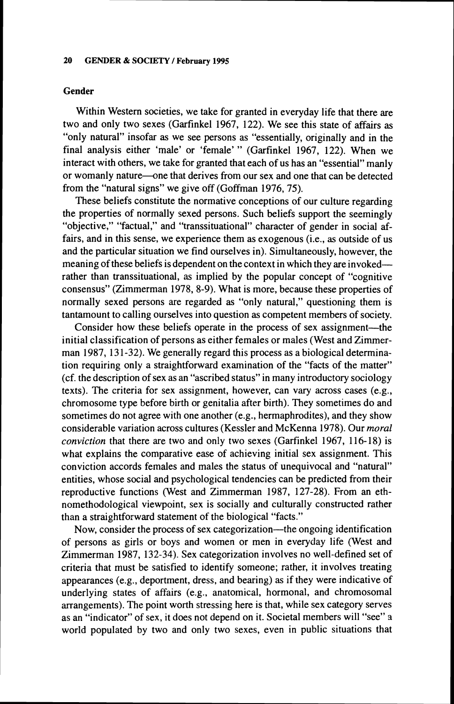#### **20 GENDER** & **SOCIETY**/ **February 1995**

### **Gender**

Within Western societies, we take for granted in everyday life that there are two and only two sexes (Garfinkel 1967, 122). We see this state of affairs **as**  "only natural" insofar **as** we see persons **as** "essentially, originally and in the final analysis either 'male' or 'female' " (Garfinkel 1967, 122). When we interact with others, we take for granted that each of us has an "essential" manly or womanly nature—one that derives from our sex and one that can be detected from the "natural signs" we give off (Goffman 1976,75).

These beliefs constitute the normative conceptions of our culture regarding the properties of normally sexed persons. Such beliefs support the seemingly "objective," "factual," and "transsituational" character of gender in social affairs, and in this sense, we experience them as exogenous (i.e., as outside of us and the particular situation we find ourselves in). Simultaneously, however, the meaning of these beliefs is dependent on the context in which they are invokedrather than transsituational, as implied by the popular concept of "cognitive consensus" (Zimmerman 1978, 8-9). What is more, because these properties of normally sexed persons are regarded as "only natural," questioning them is tantamount to calling ourselves into question as competent members of society.

Consider how these beliefs operate in the process of sex assignment—the initial classification of persons as either females or males (West and Zimmerman 1987, 131-32). We generally regard this process as a biological determination requiring only a straightforward examination of the "facts of the matter" (cf. the description of sex as an "ascribed status" in many introductory sociology texts). The criteria for sex assignment, however, can vary across cases (e.g., chromosome type before birth or genitalia after birth). They sometimes do and sometimes do not agree with one another (e.g., hermaphrodites), and they show considerable variation across cultures (Kessler and McKenna 1978). Our *moral conviction* that there are two and only two sexes (Garfinkel 1967, 116-18) is what explains the comparative ease of achieving initial sex assignment. This conviction accords females and males the status of unequivocal and "natural" entities, whose social and psychological tendencies can be predicted from their reproductive functions (West and Zimmerman 1987, 127-28). From an ethnomethodological viewpoint, sex is socially and culturally constructed rather than a straightforward statement of the biological "facts."

Now, consider the process of sex categorization—the ongoing identification of persons **as** girls or boys and women or men in everyday life (West and Zimmerman 1987, 132-34). Sex categorization involves no well-defined set of criteria that must be satisfied to identify someone; rather, it involves treating appearances (e.g., deportment, dress, and bearing) **as** if they were indicative of underlying states of affairs (e.g., anatomical, hormonal, and chromosomal arrangements). The point worth stressing here is that, while sex category serves as an "indicator" of sex, it does not depend on it. Societal members will "see" *s*  world populated by two and only two sexes, even in public situations that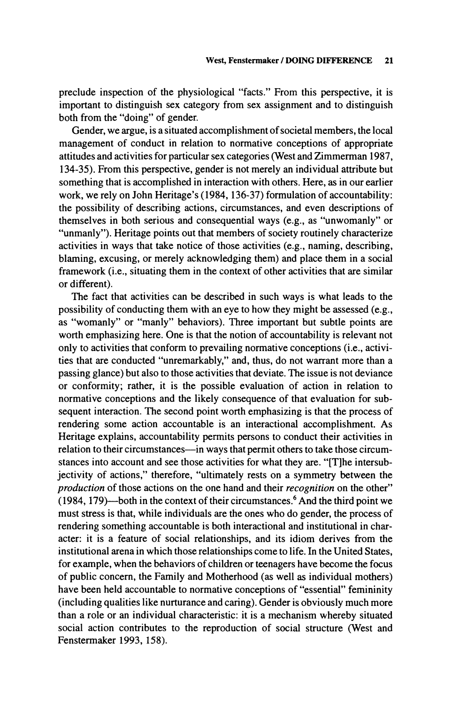preclude inspection of the physiological "facts." From this perspective, it is important to distinguish sex category from sex assignment and to distinguish both from the "doing" of gender.

Gender, we argue, is a situated accomplishment of societal members, the local management of conduct in relation to normative conceptions of appropriate attitudes and activities for particular sex categories (West and Zimmerman 1987, 134-35). From this perspective, gender is not merely an individual attribute but something that is accomplished in interaction with others. Here, as in our earlier work, we rely on John Heritage's (1984, 136-37) formulation of accountability: the possibility of describing actions, circumstances, and even descriptions of themselves in both serious and consequential ways (e.g., as "unwomanly" or "unmanly"). Heritage points out that members of society routinely characterize activities in ways that take notice of those activities (e.g., naming, describing, blaming, excusing, or merely acknowledging them) and place them in a social framework (i.e., situating them in the context of other activities that are similar or different).

The fact that activities can be described in such ways is what leads to the possibility of conducting them with an eye to how they might be assessed (e.g., as "womanly" or "manly" behaviors). Three important but subtle points are worth emphasizing here. One is that the notion of accountability is relevant not only to activities that conform to prevailing normative conceptions (i.e., activities that are conducted "unremarkably," and, thus, do not warrant more than a passing glance) but also to those activities that deviate. The issue is not deviance or conformity; rather, it is the possible evaluation of action in relation to normative conceptions and the likely consequence of that evaluation for subsequent interaction. The second point worth emphasizing is that the process of rendering some action accountable is an interactional accomplishment. As Heritage explains, accountability permits persons to conduct their activities in relation to their circumstances-in ways that permit others to take those circumstances into account and see those activities for what they are. "[Tlhe intersubjectivity of actions," therefore, "ultimately rests on a symmetry between the *production* of those actions on the one hand and their *recognition* on the other" (1984, 179)—both in the context of their circumstances.<sup> $6$ </sup> And the third point we must stress is that, while individuals are the ones who do gender, the process of rendering something accountable is both interactional and institutional in character: it is a feature of social relationships, and its idiom derives from the institutional arena in which those relationships come to life. In the United States, for example, when the behaviors of children or teenagers have become the focus of public concern, the Family and Motherhood (as well as individual mothers) have been held accountable to normative conceptions of "essential" femininity (including qualities like nurturance and caring). Gender is obviously much more than a role or an individual characteristic: it is a mechanism whereby situated social action contributes to the reproduction of social structure (West and Fenstermaker 1993, 158).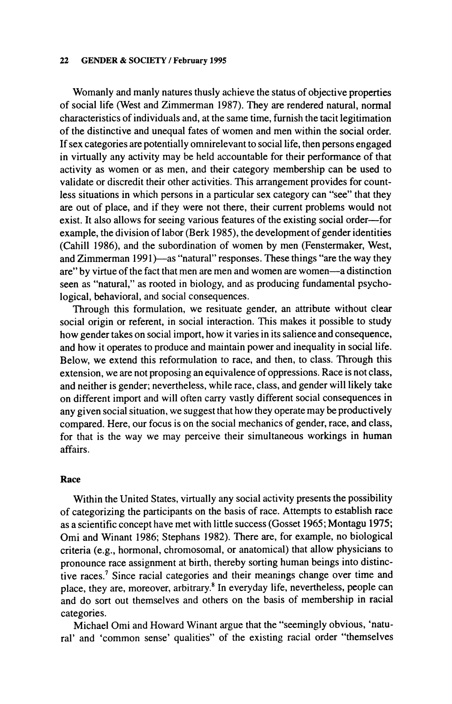### **22 GENDER** & **SOCIETY 1February 1995**

Womanly and manly natures thusly achieve the status of objective properties of social life (West and Zimmerman 1987). They are rendered natural, normal characteristics of individuals and, at the same time, furnish the tacit legitimation of the distinctive and unequal fates of women and men within the social order. If sex categories are potentially omnirelevant to social life, then persons engaged in virtually any activity may be held accountable for their performance of that activity as women or as men, and their category membership can be used to validate or discredit their other activities. This arrangement provides for countless situations in which persons in a particular sex category can "see" that they are out of place, and if they were not there, their current problems would not exist. It also allows for seeing various features of the existing social order-for example, the division of labor (Berk 1985), the development of gender identities (Cahill 1986), and the subordination of women by men (Fenstermaker, West, and Zimmerman 1991)—as "natural" responses. These things "are the way they are" by virtue of the fact that men are men and women are women-a distinction seen as "natural," as rooted in biology, and as producing fundamental psychological, behavioral, and social consequences.

Through this formulation, we resituate gender, an attribute without clear social origin or referent, in social interaction. This makes it possible to study how gender takes on social import, how it varies in its salience and consequence, and how it operates to produce and maintain power and inequality in social life. Below, we extend this reformulation to race, and then, to class. Through this extension, we are not proposing an equivalence of oppressions. Race is not class, and neither is gender; nevertheless, while race, class, and gender will likely take on different import and will often carry vastly different social consequences in any given social situation, we suggest that how they operate may be productively compared. Here, our focus is on the social mechanics of gender, race, and class, for that is the way we may perceive their simultaneous workings in human affairs.

#### **Race**

Within the United States, virtually any social activity presents the possibility of categorizing the participants on the basis of race. Attempts to establish race as a scientific concept have met with little success (Gosset 1965; Montagu 1975; Omi and Winant 1986; Stephans 1982). There are, for example, no biological criteria (e.g., hormonal, chromosomal, or anatomical) that allow physicians to pronounce race assignment at birth, thereby sorting human beings into distinctive races.<sup>7</sup> Since racial categories and their meanings change over time and place, they are, moreover, arbitrary.<sup>8</sup> In everyday life, nevertheless, people can and do sort out themselves and others on the basis of membership in racial categories.

Michael Omi and Howard Winant argue that the "seemingly obvious, 'natural' and 'common sense' qualities" of the existing racial order "themselves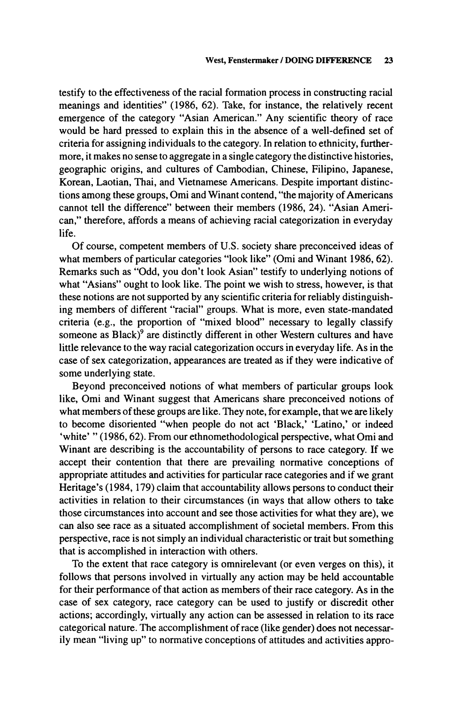testify to the effectiveness of the racial formation process in constructing racial meanings and identities" (1986, 62). Take, for instance, the relatively recent emergence of the category "Asian American." Any scientific theory of race would be hard pressed to explain this in the absence of a well-defined set of criteria for assigning individuals to the category. In relation to ethnicity, furthermore, it makes no sense to aggregate in a single category the distinctive histories, geographic origins, and cultures of Cambodian, Chinese, Filipino, Japanese, Korean, Laotian, Thai, and Vietnamese Americans. Despite important distinctions among these groups, Omi and Winant contend, "the majority of Americans cannot tell the difference" between their members (1986, 24). "Asian American," therefore, affords a means of achieving racial categorization in everyday life.

Of course, competent members of U.S. society share preconceived ideas of what members of particular categories "look like" (Omi and Winant 1986, 62). Remarks such as "Odd, you don't look Asian" testify to underlying notions of what "Asians" ought to look like. The point we wish to stress, however, is that these notions are not supported by any scientific criteria for reliably distinguishing members of different "racial" groups. What is more, even state-mandated criteria (e.g., the proportion of "mixed blood" necessary to legally classify someone as  $Black)$ <sup>9</sup> are distinctly different in other Western cultures and have little relevance to the way racial categorization occurs in everyday life. As in the case of sex categorization, appearances are treated as if they were indicative of some underlying state.

Beyond preconceived notions of what members of particular groups look like, Omi and Winant suggest that Americans share preconceived notions of what members of these groups are like. They note, for example, that we are likely to become disoriented "when people do not act 'Black,' 'Latino,' or indeed 'white' "(1986.62). From our ethnomethodological perspective, what Omi and Winant are describing is the accountability of persons to race category. If we accept their contention that there are prevailing normative conceptions of appropriate attitudes and activities for particular race categories and if we grant Heritage's (1984, 179) claim that accountability allows persons to conduct their activities in relation to their circumstances (in ways that allow others to take those circumstances into account and see those activities for what they are), we can also see race as a situated accomplishment of societal members. From this perspective, race is not simply an individual characteristic or trait but something that is accomplished in interaction with others.

To the extent that race category is omnirelevant (or even verges on this), it follows that persons involved in virtually any action may be held accountable for their performance of that action as members of their race category. As in the case of sex category, race category can be used to justify or discredit other actions; accordingly, virtually any action can be assessed in relation to its race categorical nature. The accomplishment of race (like gender) does not necessarily mean "living up" to normative conceptions of attitudes and activities appro-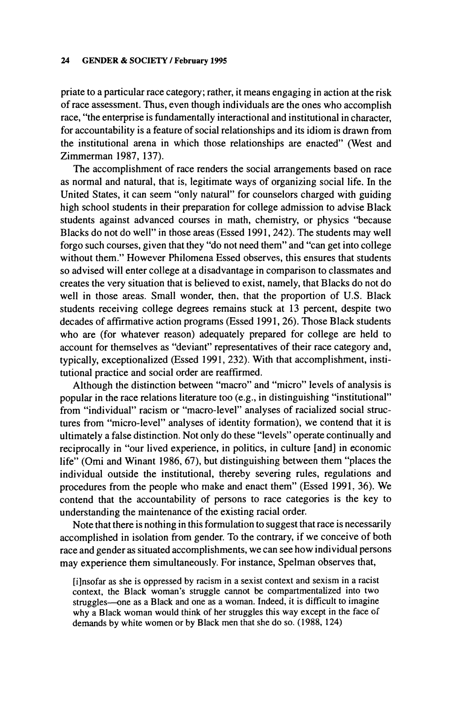#### **24 GENDER** & **SOCIETY***I* **February 1995**

priate to a particular race category; rather, it means engaging in action at the risk of race assessment. Thus, even though individuals are the ones who accomplish race, "the enterprise is fundamentally interactional and institutional in character, for accountability is a feature of social relationships and its idiom is drawn from the institutional arena in which those relationships are enacted" (West and Zimmerman 1987, 137).

The accomplishment of race renders the social arrangements based on race as normal and natural, that is, legitimate ways of organizing social life. In the United States, it can seem "only natural" for counselors charged with guiding high school students in their preparation for college admission to advise Black students against advanced courses in math, chemistry, or physics "because Blacks do not do well" in those areas (Essed 1991,242). The students may well forgo such courses, given that they "do not need them" and "can get into college without them." However Philomena Essed observes, this ensures that students so advised will enter college at a disadvantage in comparison to classmates and creates the very situation that is believed to exist, namely, that Blacks do not do well in those areas. Small wonder, then, that the proportion of U.S. Black students receiving college degrees remains stuck at 13 percent, despite two decades of affirmative action programs (Essed 1991,26). Those Black students who are (for whatever reason) adequately prepared for college are held to account for themselves as "deviant" representatives of their race category and, typically, exceptionalized (Essed 1991, 232). With that accomplishment, institutional practice and social order are reaffirmed.

Although the distinction between "macro" and "micro" levels of analysis is popular in the race relations literature too (e.g., in distinguishing "institutional" from "individual" racism or "macro-level" analyses of racialized social structures from "micro-level" analyses of identity formation), we contend that it is ultimately a false distinction. Not only do these "levels" operate continually and reciprocally in "our lived experience, in politics, in culture [and] in economic life" (Omi and Winant 1986, 67), but distinguishing between them "places the individual outside the institutional, thereby severing rules, regulations and procedures from the people who make and enact them" (Essed 1991, 36). We contend that the accountability of persons to race categories is the key to understanding the maintenance of the existing racial order.

Note that there is nothing in this formulation to suggest that race is necessarily accomplished in isolation from gender. To the contrary, if we conceive of both race and gender as situated accomplishments, we can see how individual persons may experience them simultaneously. For instance, Spelman observes that,

**[ilnsofar as she is oppressed by racism in a sexist context and sexism in a racist context, the Black woman's struggle cannot be compartmentalized into two**  struggles-one as a Black and one as a woman. Indeed, it is difficult to imagine why a Black woman would think of her struggles this way except in the face of **demands by white women or by Black men that she do so. (1988, 124)**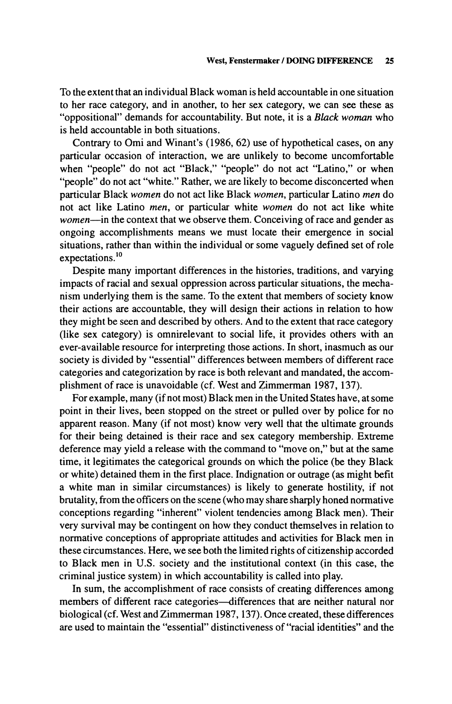To the extent that an individual Black woman is held accountable in one situation to her race category, and in another, to her sex category, we can see these as "oppositional" demands for accountability. But note, it is a Black woman who is held accountable in both situations.

Contrary to Omi and Winant's (1986,62) use of hypothetical cases, on any particular occasion of interaction, we are unlikely to become uncomfortable when "people" do not act "Black," "people" do not act "Latino," or when "people" do not act "white." Rather, we are likely to become disconcerted when particular Black women do not act like Black women, particular Latino men do not act like Latino men, or particular white women do not act like white women-in the context that we observe them. Conceiving of race and gender as ongoing accomplishments means we must locate their emergence in social situations, rather than within the individual or some vaguely defined set of role expectations.<sup>10</sup>

Despite many important differences in the histories, traditions, and varying impacts of racial and sexual oppression across particular situations, the mechanism underlying them is the same. To the extent that members of society know their actions are accountable, they will design their actions in relation to how they might be seen and described by others. And to the extent that race category (like sex category) is omnirelevant to social life, it provides others with an ever-available resource for interpreting those actions. In short, inasmuch as our society is divided by "essential" differences between members of different race categories and categorization by race is both relevant and mandated, the accomplishment of race is unavoidable (cf. West and Zimmerman 1987, 137).

For example, many (if not most) Black men in the United States have, at some point in their lives, been stopped on the street or pulled over by police for no apparent reason. Many (if not most) know very well that the ultimate grounds for their being detained is their race and sex category membership. Extreme deference may yield a release with the command to "move on," but at the same time, it legitimates the categorical grounds on which the police (be they Black or white) detained them in the first place. Indignation or outrage (as might befit a white man in similar circumstances) is likely to generate hostility, if not brutality, from the officers on the scene (who may share sharply honed normative conceptions regarding "inherent" violent tendencies among Black men). Their very survival may be contingent on how they conduct themselves in relation to normative conceptions of appropriate attitudes and activities for Black men in these circumstances. Here, we see both the limited rights of citizenship accorded to Black men in U.S. society and the institutional context (in this case, the criminal justice system) in which accountability is called into play.

In sum, the accomplishment of race consists of creating differences among members of different race categories-differences that are neither natural nor biological (cf. West and Zimmerman 1987,137). Once created, these differences are used to maintain the "essential" distinctiveness of "racial identities" and the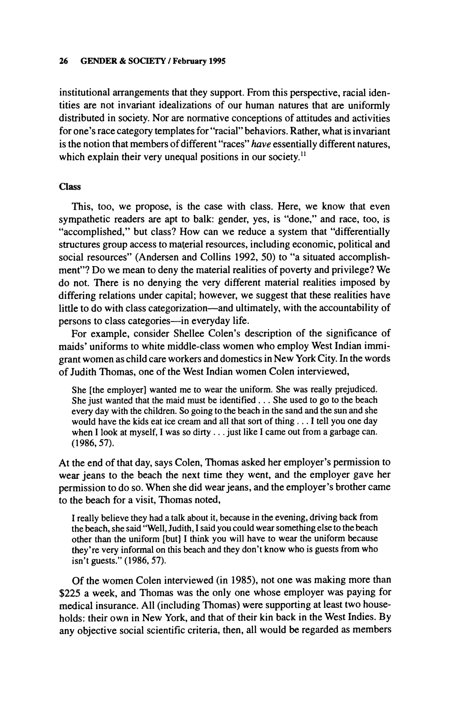### **26 GENDER** & **SOCIETY**/ **February 1995**

institutional arrangements that they support. From this perspective, racial identities are not invariant idealizations of our human natures that are uniformly distributed in society. Nor are normative conceptions of attitudes and activities for one's race category templates for "racial" behaviors. Rather, what is invariant is the notion that members of different "races" have essentially different natures, which explain their very unequal positions in our society.<sup>11</sup>

### **Class**

This, too, we propose, is the case with class. Here, we know that even sympathetic readers are apt to balk: gender, yes, is "done," and race, too, is "accomplished," but class? How can we reduce a system that "differentially structures group access to material resources, including economic, political and social resources" (Andersen and Collins 1992, 50) to "a situated accomplishment"? Do we mean to deny the material realities of poverty and privilege? We do not. There is no denying the very different material realities imposed by differing relations under capital; however, we suggest that these realities have little to do with class categorization—and ultimately, with the accountability of persons to class categories—in everyday life.

For example, consider Shellee Colen's description of the significance of maids' uniforms to white middle-class women who employ West Indian immigrant women as child care workers and domestics in New York City. In the words of Judith Thomas, one of the West Indian women Colen interviewed,

She [the employer] wanted me to wear the uniform. She was really prejudiced. She just wanted that the maid must be identified . . . She used to go to the beach every day with the children. So going to the beach in the sand and the sun and she would have the kids eat ice cream and all that sort of thing... I tell you one day when I look at myself, I was so dirty  $\ldots$  just like I came out from a garbage can. **(1986,57).** 

At the end of that day, says Colen, Thomas asked her employer's permission to wear jeans to the beach the next time they went, and the employer gave her permission to do so. When she did wear jeans, and the employer's brother came to the beach for a visit, Thomas noted,

I really believe they had a talk about it, because in the evening, driving back from the beach, she said "Well, Judith, I said you could wear something else to thebeach other than the uniform [but] I think you will have to wear the uniform because they're very informal on this beach and they don't know who is guests from who isn't guests." **(1986,57).** 

Of the women Colen interviewed (in 1985), not one was making more than \$225 a week, and Thomas was the only one whose employer was paying for medical insurance. All (including Thomas) were supporting at least two households: their own in New York, and that of their kin back in the West Indies. By any objective social scientific criteria, then, all would be regarded as members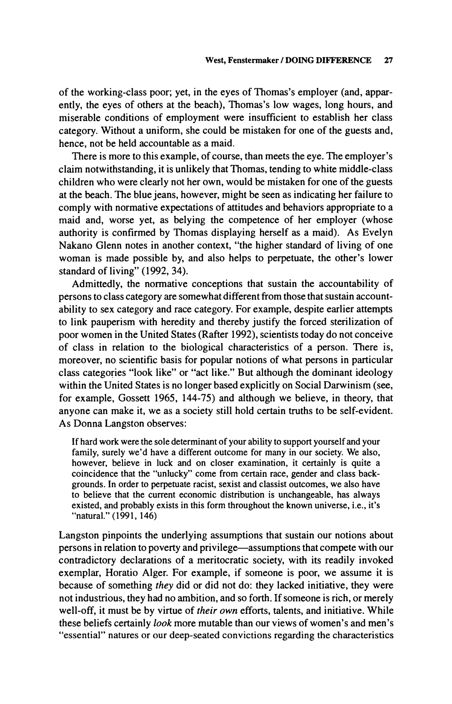of the working-class poor; yet, in the eyes of Thomas's employer (and, apparently, the eyes of others at the beach), Thomas's low wages, long hours, and miserable conditions of employment were insufficient to establish her class category. Without a uniform, she could be mistaken for one of the guests and, hence, not be held accountable as a maid.

There is more to this example, of course, than meets the eye. The employer's claim notwithstanding, it is unlikely that Thomas, tending to white middle-class children who were clearly not her own, would be mistaken for one of the guests at the beach. The blue jeans, however, might be seen as indicating her failure to comply with normative expectations of attitudes and behaviors appropriate to a maid and, worse yet, as belying the competence of her employer (whose authority is confirmed by Thomas displaying herself as a maid). As Evelyn Nakano Glenn notes in another context, "the higher standard of living of one woman is made possible by, and also helps to perpetuate, the other's lower standard of living" (1992, 34).

Admittedly, the normative conceptions that sustain the accountability of persons to class category are somewhat different from those that sustain accountability to sex category and race category. For example, despite earlier attempts to link pauperism with heredity and thereby justify the forced sterilization of poor women in the United States (Rafter 1992), scientists today do not conceive of class in relation to the biological characteristics of a person. There is, moreover, no scientific basis for popular notions of what persons in particular class categories "look like" or "act like." But although the dominant ideology within the United States is no longer based explicitly on Social Darwinism (see, for example, Gossett 1965, 144-75) and although we believe, in theory, that anyone can make it, we as a society still hold certain truths to be self-evident. As Donna Langston observes:

If hard work were the sole determinant of your ability to support yourself and your family, surely we'd have a different outcome for many in our society. We also, however, believe in luck and on closer examination, it certainly is quite a coincidence that the "unlucky" come from certain race, gender and class backgrounds. In order to perpetuate racist, sexist and classist outcomes, we also have to believe that the current economic distribution is unchangeable, has always existed, and probably exists in this form throughout the known universe, i.e., it's "natural." (1991, 146)

Langston pinpoints the underlying assumptions that sustain our notions about persons in relation to poverty and privilege-assumptions that compete with our contradictory declarations of a meritocratic society, with its readily invoked exemplar, Horatio Alger. For example, if someone is poor, we assume it is because of something *they* did or did not do: they lacked initiative, they were not industrious, they had no ambition, and so forth. If someone is rich, or merely well-off, it must be by virtue of *their* own efforts, talents, and initiative. While these beliefs certainly *look* more mutable than our views of women's and men's "essential" natures or our deep-seated convictions regarding the characteristics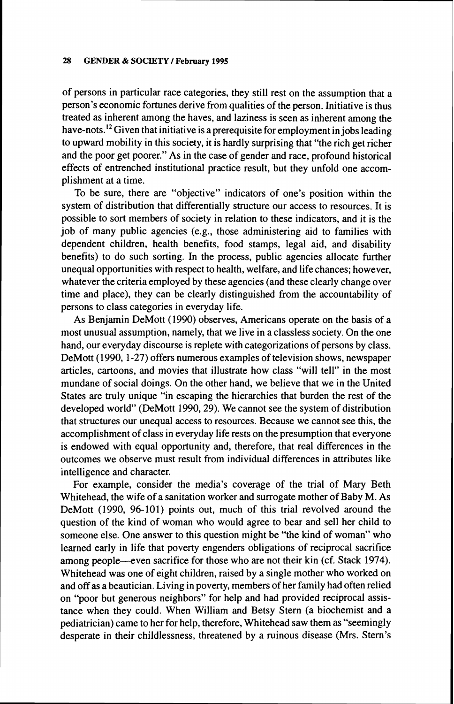### **28 GENDER** & **SOCIETY**/ **February 1995**

of persons in particular race categories, they still rest on the assumption that a person's economic fortunes derive from qualities of the person. Initiative is thus treated as inherent among the haves, and laziness is seen as inherent among the have-nots.<sup>12</sup> Given that initiative is a prerequisite for employment in jobs leading to upward mobility in this society, it is hardly surprising that "the rich get richer and the poor get poorer." As in the case of gender and race, profound historical effects of entrenched institutional practice result, but they unfold one accomplishment at a time.

To be sure, there are "objective" indicators of one's position within the system of distribution that differentially structure our access to resources. It is possible to sort members of society in relation to these indicators, and it is the job of many public agencies (e.g., those administering aid to families with dependent children, health benefits, food stamps, legal aid, and disability benefits) to do such sorting. In the process, public agencies allocate further unequal opportunities with respect to health, welfare, and life chances; however, whatever the criteria employed by these agencies (and these clearly change over time and place), they can be clearly distinguished from the accountability of persons to class categories in everyday life.

As Benjamin DeMott (1990) observes, Americans operate on the basis of a most unusual assumption, namely, that we live in a classless society. On the one hand, our everyday discourse is replete with categorizations of persons by class. DeMott (1990, 1-27) offers numerous examples of television shows, newspaper articles, cartoons, and movies that illustrate how class "will tell" in the most mundane of social doings. On the other hand, we believe that we in the United States are truly unique "in escaping the hierarchies that burden the rest of the developed world" (DeMott 1990,29). We cannot see the system of distribution that structures our unequal access to resources. Because we cannot see this, the accomplishment of class in everyday life rests on the presumption that everyone is endowed with equal opportunity and, therefore, that real differences in the outcomes we observe must result from individual differences in attributes like intelligence and character.

For example, consider the media's coverage of the trial of Mary Beth Whitehead, the wife of a sanitation worker and surrogate mother of Baby M, As DeMott (1990, 96-101) points out, much of this trial revolved around the question of the kind of woman who would agree to bear and sell her child to someone else. One answer to this question might be "the kind of woman" who learned early in life that poverty engenders obligations of reciprocal sacrifice among people--even sacrifice for those who are not their kin (cf. Stack 1974). Whitehead was one of eight children, raised by a single mother who worked on and off as a beautician. Living in poverty, members of her family had often relied on "poor but generous neighbors" for help and had provided reciprocal assistance when they could. When William and Betsy Stern (a biochemist and a pediatrician) came to her for help, therefore, Whitehead saw them as "seemingly desperate in their childlessness, threatened by a ruinous disease (Mrs. Stem's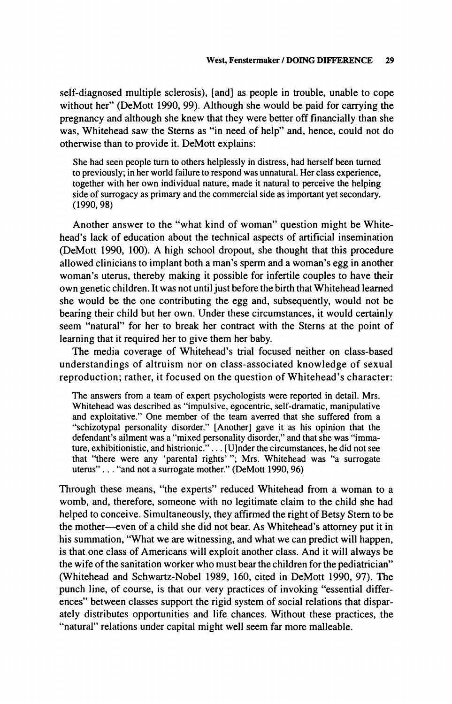self-diagnosed multiple sclerosis), [and] as people in trouble, unable to cope without her" (DeMott 1990, 99). Although she would be paid for carrying the pregnancy and although she knew that they were better off financially than she was, Whitehead saw the Stems as "in need of help" and, hence, could not do otherwise than to provide it. DeMott explains:

She had seen people turn to others helplessly in distress, had herself been turned to previously; in her world failure to respond was unnatural. Her class experience, together with her own individual nature, made it natural to perceive the helping side of surrogacy as primary and the commercial side as important yet secondary. (1990,98)

Another answer to the "what kind of woman" question might be Whitehead's lack of education about the technical aspects of artificial insemination (DeMott 1990, 100). A high school dropout, she thought that this procedure allowed clinicians to implant both a man's sperm and a woman's egg in another woman's uterus, thereby making it possible for infertile couples to have their own genetic children. It was not until just before the birth that Whitehead learned she would be the one contributing the egg and, subsequently, would not be bearing their child but her own. Under these circumstances, it would certainly seem "natural" for her to break her contract with the Sterns at the point of learning that it required her to give them her baby.

The media coverage of Whitehead's trial focused neither on class-based understandings of altruism nor on class-associated knowledge of sexual reproduction; rather, it focused on the question of Whitehead's character:

The answers from a team of expert psychologists were reported in detail. Mrs. Whitehead was described as "impulsive, egocentric, self-dramatic, manipulative and exploitative." One member of the team averred that she suffered from a "schizotypal personality disorder." [Another] gave it as his opinion that the defendant's ailment was a "mixed personality disorder," and that she was "immature, exhibitionistic, and histrionic." . .. [Ulnder the circumstances, he did not see that "there were any 'parental rights' "; Mrs. Whitehead was "a surrogate uterus" . . ."and not a surrogate mother." (DeMott 1990.96)

Through these means, "the experts" reduced Whitehead from a woman to a womb, and, therefore, someone with no legitimate claim to the child she had helped to conceive. Simultaneously, they affirmed the right of Betsy Stem to be the mother-even of a child she did not bear. As Whitehead's attorney put it in his summation, "What we are witnessing, and what we can predict will happen, is that one class of Americans will exploit another class. And it will always be the wife of the sanitation worker who must bear the children for the pediatrician" (Whitehead and Schwartz-Nobel 1989, 160, cited in DeMott 1990, 97). The punch line, of course, is that our very practices of invoking "essential differences" between classes support the rigid system of social relations that disparately distributes opportunities and life chances. Without these practices, the "natural" relations under capital might well seem far more malleable.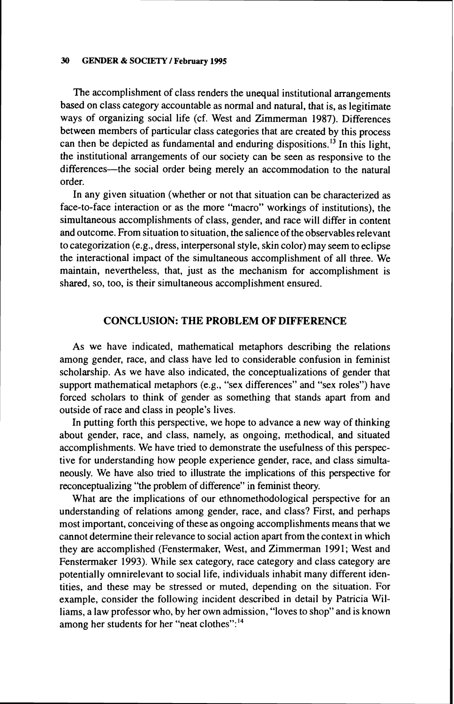### **30 GENDER** & **SOCIETY/February 1995**

The accomplishment of class renders the unequal institutional arrangements based on class category accountable as normal and natural, that is, as legitimate ways of organizing social life (cf. West and Zimmerman 1987). Differences between members of particular class categories that are created by this process can then be depicted as fundamental and enduring dispositions.<sup>13</sup> In this light, the institutional arrangements of our society can be seen as responsive to the differences—the social order being merely an accommodation to the natural order.

In any given situation (whether or not that situation can be characterized as face-to-face interaction or as the more "macro" workings of institutions), the simultaneous accomplishments of class, gender, and race will differ in content and outcome. From situation to situation, the salience of the observables relevant to categorization (e.g., dress, interpersonal style, skin color) may seem to eclipse the interactional impact of the simultaneous accomplishment of all three. We maintain, nevertheless, that, just as the mechanism for accomplishment is shared, so, too, is their simultaneous accomplishment ensured.

### **CONCLUSION: THE PROBLEM OF DIFFERENCE**

As we have indicated, mathematical metaphors describing the relations among gender, race, and class have led to considerable confusion in feminist scholarship. As we have also indicated, the conceptualizations of gender that support mathematical metaphors (e.g., "sex differences" and "sex roles") have forced scholars to think of gender as something that stands apart from and outside of race and class in people's lives.

In putting forth this perspective, we hope to advance a new way of thinking about gender, race, and class, namely, as ongoing, methodical, and situated accomplishments. We have tried to demonstrate the usefulness of this perspective for understanding how people experience gender, race, and class simultaneously. We have also tried to illustrate the implications of this perspective for reconceptualizing "the problem of difference" in feminist theory.

What are the implications of our ethnomethodological perspective for an understanding of relations among gender, race, and class? First, and perhaps most important, conceiving of these as ongoing accomplishments means that we cannot determine their relevance to social action apart from the context in which they are accomplished (Fenstermaker, West, and Zimmerman 1991; West and Fenstermaker 1993). While sex category, race category and class category are potentially omnirelevant to social life, individuals inhabit many different identities, and these may be stressed or muted, depending on the situation. For example, consider the following incident described in detail by Patricia Williams, a law professor who, by her own admission, "loves to shop" and is known among her students for her "neat clothes":<sup>14</sup>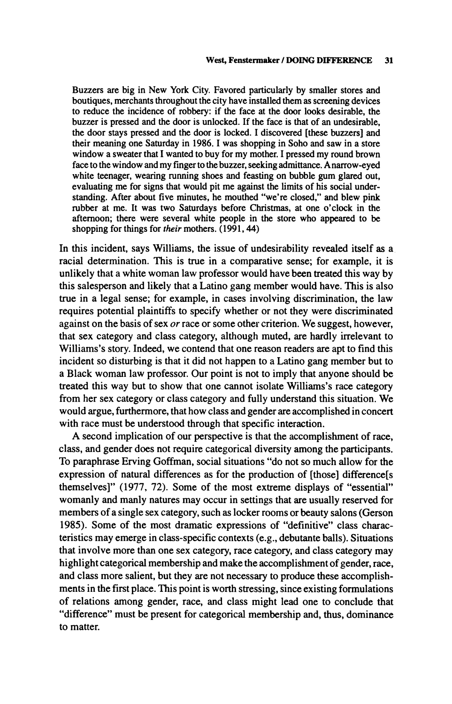Buzzers are big in New York City. Favored particularly by smaller stores and boutiques, merchants throughout the city have installed them as screening devices to reduce the incidence of robbery: if the face at the door looks desirable, the buzzer is pressed and the door is unlocked. If the face is that of an undesirable, the door stays pressed and the door is locked. I discovered [these buzzers] and their meaning one Saturday in **1986.** I was shopping in Soho and saw in a store window a sweater that I wanted to buy for my mother. I pressed my round brown face to the window and my finger to the buzzer, seeking admittance. Anarrow-eyed white teenager, wearing running shoes and feasting on bubble gum glared out. evaluating me for signs that would pit me against the limits of his social understanding. After about five minutes, he mouthed "we're closed," and blew pink rubber at me. It was two Saturdays before Christmas, at one o'clock in the afternoon; there were several white people in the store who appeared to be shopping for things for their mothers. **(1991,44)** 

In this incident, says Williams, the issue of undesirability revealed itself as a racial determination. This is true in a comparative sense; for example, it is unlikely that a white woman law professor would have been treated this way by this salesperson and likely that a Latino gang member would have. This is also true in a legal sense; for example, in cases involving discrimination, the law requires potential plaintiffs to specify whether or not they were discriminated against on the basis of sex *or* race or some other criterion. We suggest, however, that sex category and class category, although muted, are hardly irrelevant to Williams's story. Indeed, we contend that one reason readers are apt to find this incident so disturbing is that it did not happen to a Latino gang member but to a Black woman law professor. Our point is not to imply that anyone should be treated this way but to show that one cannot isolate Williams's race category from her sex category or class category and fully understand this situation. We would argue, furthermore, that how class and gender are accomplished in concert with race must be understood through that specific interaction.

A second implication of our perspective is that the accomplishment of race, class, and gender does not require categorical diversity among the participants. To paraphrase Erving Goffman, social situations "do not so much allow for the expression of natural differences as for the production of [those] difference[s themselves]" (1977, 72). Some of the most extreme displays of "essential" womanly and manly natures may occur in settings that are usually reserved for members of a single sex category, such as locker rooms or beauty salons (Gerson 1985). Some of the most dramatic expressions of "definitive" class characteristics may emerge in class-specific contexts (e.g., debutante balls). Situations that involve more than one sex category, race category, and class category may highlight categorical membership and make the accomplishment of gender, race, and class more salient, but they are not necessary to produce these accomplishments in the first place. This point is worth stressing, since existing formulations of relations among gender, race, and class might lead one to conclude that "difference" must be present for categorical membership and, thus, dominance to matter.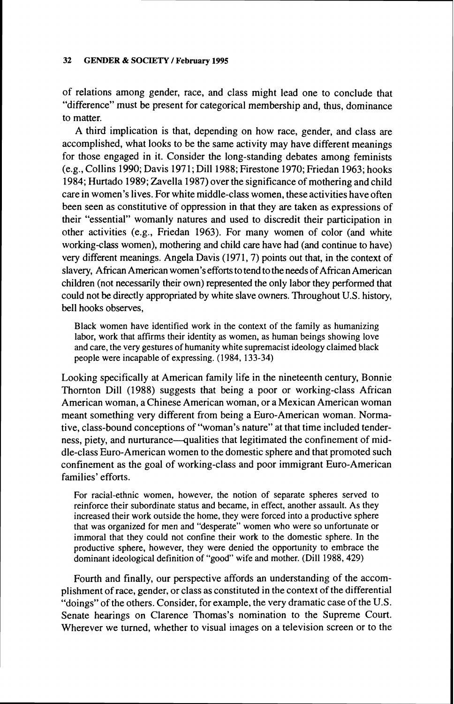### **32 GENDER** & **SOCIETY***I* **February 1995**

of relations among gender, race, and class might lead one to conclude that "difference" must be present for categorical membership and, thus, dominance to matter.

A third implication is that, depending on how race, gender, and class are accomplished, what looks to be the same activity may have different meanings for those engaged in it. Consider the long-standing debates among feminists (e.g., Collins 1990; Davis 197 1;Dill 1988; Firestone 1970; Friedan 1963; hooks 1984; Hurtado 1989; Zavella 1987) over the significance of mothering and child care in women's lives. For white middle-class women, these activities have often been seen as constitutive of oppression in that they are taken as expressions of their "essential" womanly natures and used to discredit their participation in other activities (e.g., Friedan 1963). For many women of color (and white working-class women), mothering and child care have had (and continue to have) very different meanings. Angela Davis (1971,7) points out that, in the context of slavery, African American women's efforts to tend to the needs of African American children (not necessarily their own) represented the only labor they performed that could not be directly appropriated by white slave owners. Throughout U.S. history, bell hooks observes,

Black women have identified work in the context of the family as humanizing labor, work that affirms their identity as women, as human beings showing love and care, the very gestures of humanity white supremacist ideology claimed black people were incapable of expressing. (1984, 133-34)

Looking specifically at American family life in the nineteenth century, Bonnie Thornton Dill (1988) suggests that being a poor or working-class African American woman, a Chinese American woman, or a Mexican American woman meant something very different from being a Euro-American woman. Normative, class-bound conceptions of "woman's nature" at that time included tenderness, piety, and nurturance—qualities that legitimated the confinement of middle-class Euro-American women to the domestic sphere and that promoted such confinement as the goal of working-class and poor immigrant Euro-American families' efforts.

For racial-ethnic women, however, the notion of separate spheres served to reinforce their subordinate status and became, in effect, another assault. As they increased their work outside the home, they were forced into a productive sphere that was organized for men and "desperate" women who were so unfortunate or immoral that they could not confine their work to the domestic sphere. In the productive sphere, however, they were denied the opportunity to embrace the dominant ideological definition of "good" wife and mother. (Dill 1988, 429)

Fourth and finally, our perspective affords an understanding of the accomplishment of race, gender, or class as constituted in the context of the differential "doings" of the others. Consider, for example, the very dramatic case of the U.S. Senate hearings on Clarence Thomas's nomination to the Supreme Court. Wherever we turned, whether to visual images on a television screen or to the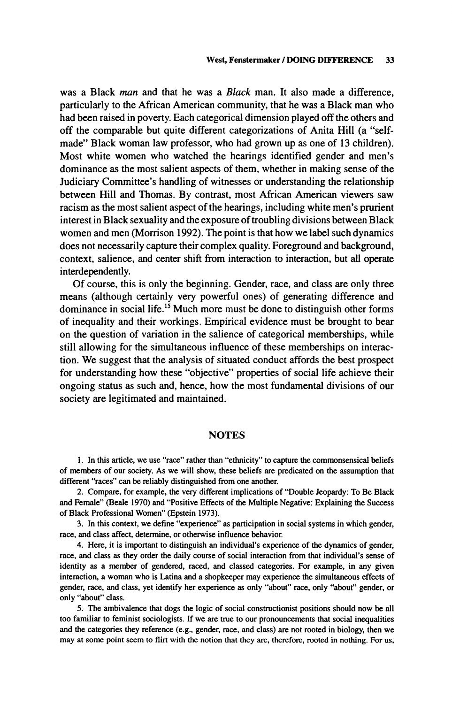was a Black man and that he was a Black man. It also made a difference, particularly to the African American community, that he was a Black man who had been raised in poverty. Each categorical dimension played off the others and off the comparable but quite different categorizations of Anita Hill (a "selfmade" Black woman law professor, who had grown up as one of 13 children). Most white women who watched the hearings identified gender and men's dominance as the most salient aspects of them, whether in making sense of the Judiciary Committee's handling of witnesses or understanding the relationship between Hill and Thomas. By contrast, most African American viewers saw racism as the most salient aspect of the hearings, including white men's prurient interest in Black sexuality and the exposure of troubling divisions between Black women and men (Morrison 1992). The point is that how we label such dynamics does not necessarily capture their complex quality. Foreground and background, context, salience, and center shift from interaction to interaction, but all operate interdependently.

Of course, this is only the beginning. Gender, race, and class are only three means (although certainly very powerful ones) of generating difference and dominance in social life.<sup>15</sup> Much more must be done to distinguish other forms of inequality and their workings. Empirical evidence must be brought to bear on the question of variation in the salience of categorical memberships, while still allowing for the simultaneous influence of these memberships on interaction. We suggest that the analysis of situated conduct affords the best prospect for understanding how these "objective" properties of social life achieve their ongoing status as such and, hence, how the most fundamental divisions of our society are legitimated and maintained.

### **NOTES**

I. In this article, we use "race" rather than "ethnicity" to capture the commonsensical beliefs of members of our society. As we will show, these beliefs are predicated on the assumption that different "races" **can** be reliably distinguished from one another.

2. Compare, for example, the very different implications of "Double Jeopardy: To Be Black and Female" (Beale 1970) and "Positive Effects of the Multiple Negative: Explaining the Success of Black Professional Women" (Epstein 1973).

3. In this context, we define "experience" as participation in social systems in which gender. race, and class affect, determine, or otherwise influence behavior.

4. Here, it is important to distinguish an individual's experience of the dynamics of gender. race, and class as they order the daily course of social interaction from that individual's sense of identity as a member of gendered, raced, and classed categories. For example, in any given interaction, a woman who is Latina and a shopkeeper may experience the simultaneous effects of gender, race, and class, yet identify her experience as only "about" race, only "about" gender, or only "about" class.

5. The ambivalence that dogs the logic of social constructionist positions should now be all too familiar to feminist sociologists. If we are true to our pronouncements that social inequalities and the categories they reference (e.g.. gender, race, and class) **are** not rooted in biology, then we may at some point seem to flirt with the notion that they are, therefore, rooted in nothing. For us,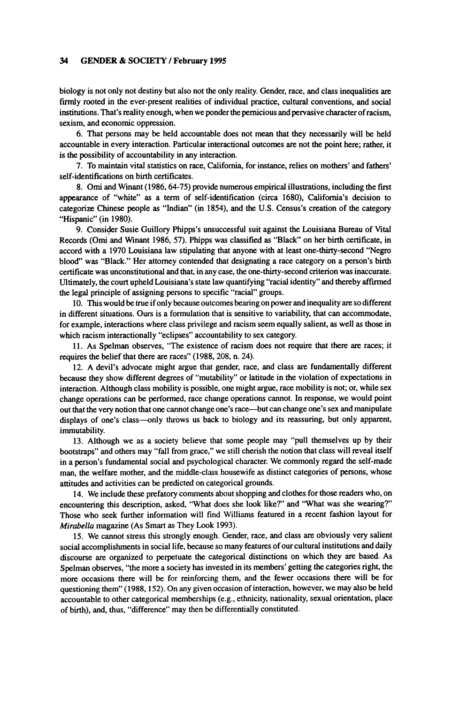#### **34 GENDER** & **SOCIETY**I **February 1995**

biology is not only not destiny but also not the only reality. Gender, race, and class inequalities **are**  firmly rooted in the ever-present realities of individual practice, cultural conventions, and social institutions. That's reality enough, when we ponder the pernicious and pervasive character of racism, sexism, and economic oppression.

6. That persons may be held accountable does not mean that they necessarily will be held accountable in every interaction. Particular interactional outcomes are not the point here; rather, it is the possibility of accountability in any interaction.

7. To maintain vital statistics on race, California, for instance, relies on mothers' and fathers' self-identifications on birth certificates.

8. Omi and Winant (1986.64-75) provide numerous empirical illustrations, including the first appearance of "white" as a term of self-identification (circa 1680). California's decision to categorize Chinese people as "Indian" (in 1854), and the **U.S.**Census's creation of the category "Hispanic" (in 1980).

9. Consider Susie Guillory Phipps's unsuccessful suit against the Louisiana Bureau of Vital Records (Omi and Winant 1986, 57). Phipps was classified as "Black" on her birth certificate, in accord with a 1970 Louisiana law stipulating that anyone with at least one-thirty-second "Negro blood" was "Black." Her attorney contended that designating a race category on a person's birth certificate was unconstitutional and that, in any case, the one-thirty-second criterion was inaccurate. Ultimately, the court upheld Louisiana's state law quantifying "racial identity" and thereby affirmed the legal principle of assigning persons to specific "racial" groups.

10. This would be true if only because outcomes bearing on power and inequality are so different in different situations. Ours is a formulation that is sensitive to variability, that can accommodate, for example, interactions where class privilege and racism seem equally salient, as well as those in which racism interactionally "eclipses" accountability to sex category.

11. As Spelman observes, 'The existence of racism does not require that there **are** races; it requires the belief that there are races" (1988, 208, n. 24).

12. A devil's advocate might argue that gender, race, and class are fundamentally different because they show different degrees of "mutability" or latitude in the violation of expectations in interaction. Although class mobility is possible, one might argue, race mobility is not; or, while sex change operations can be performed, race change operations cannot. In response, we would point out that the very notion that one cannot change one's race-but can change one's sex and manipulate displays of one's class—only throws us back to biology and its reassuring, but only apparent, immutability.

13. Although we as a society believe that some people may "pull themselves up by their bootstraps" and others may "fall from grace," we still cherish the notion that class will reveal itself in a person's fundamental social and psychological character. We commonly regard the self-made man, the welfare mother, and the middle-class housewife as distinct categories of persons, whose attitudes and activities can be predicted on categorical grounds.

14. We include these prefatory comments about shopping and clothes for those readers who, on encountering this description, asked, "What does she look like?" and "What was she wearing?" Those who seek further information will find Williams featured in a recent fashion layout for Mirabella magazine (As Smart as They Look 1993).

15. We cannot stress this strongly enough. Gender, race, and class are obviously very salient social accomplishments in social life, because so many features of our cultural institutions and daily discourse are organized to perpetuate the categorical distinctions on which they are based. As Spelman observes, "the more a society has invested in its members' getting the categories right, the more occasions there will be for reinforcing them, and the fewer occasions there will be for questioning them" (1988,152). On any given occasion of interaction. however, we may also be held accountable to other categorical memberships (e.g., ethnicity, nationality, sexual orientation, place of birth), and, thus, "difference" may then be differentially constituted.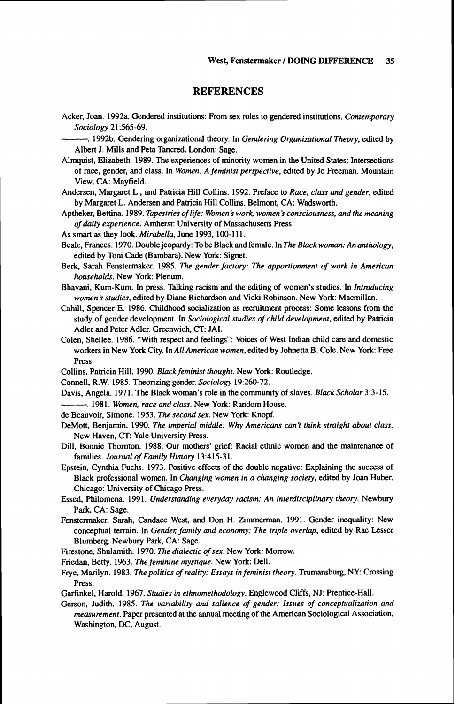### **REFERENCES**

Acker, Joan. 1992a. Gendered institutions: From sex roles to gendered institutions. *Contemporary Sociology* 21565-69.

-. 1992b. Gendering organizational theory. In *Gendering Organizational Theory*, edited by Albert J. Mills and Peta Tancred. London: Sage.

- Almquist, Elizabeth. 1989. The experiences of minority women in the United States: Intersections of race, gender, and class. In *Women: A feminist perspective.* edited by Jo Freeman. Mountain View, CA: Mayfield.
- Andersen, Margaret L.. and Patricia Hill Collins. 1992. Preface to *Race, class* and *gender,* edited by Margaret L. Andersen and Patricia Hill Collins. Belmont, CA: Wadsworth.

Aptheker, Bettina. 1989. *Tapestries of life: Women* 's *work women's consciousness, and the meaning of daily experience.* Amherst: University of Massachusetts Press.

As smart as they look. *Mirabella,* June 1993, 100-111.

- Beale, Frances. 1970. Double jeopardy: To be Black and female. In *The Black woman: An anthology,*  edited by Toni Cade (Bambara). New York: Signet.
- Berk, Sarah Fenstermaker. 1985. *The gender factory: The apportionment of work in American howeholds.* New York: Plenum.
- Bhavani, Kum-Kum. In press. Talking racism and the editing of women's studies. In *Introducing women's studies, edited by Diane Richardson and Vicki Robinson. New York: Macmillan.*
- Cahill, Spencer E. 1986. Childhood socialization as recruitment process: Some. lessons from the study of gender development. In *Sociological studies of child development,* edited by Patricia Adler and Peter Adler. Greenwich, **CT:**JAI.
- Colen, Shellee. 1986. "With respect and feelings": Voices of West Indian child care and domestic workers in New York City. In *All American women,* edited by Johnetta B. Cole. New York: **Free**  Press.

Collins, Patricia Hill. 1990. *Black feminist thought.* New York: Routledge.

Connell, R.W. 1985. Theorizing gender. *Sociology* 19:260-72.

Davis, Angela. 1971. The Black woman's role in the community of slaves. *Black Scholar* 3:3-15.

- . 1981. *Women, race* and *class.* New York: Random House.
- de Beauvoir, Simone. 1953. *The second sex.* New York: Knopf.

DeMott, Benjamin. 1990. *The imperial middle: Why Americans can't think straight about class.*  New Haven, CT: Yale University Press.

- Dill, Bonnie Thomton. 1988. Our mothers' grief: Racial ethnic women and the maintenance of families.*Journal of Family History* 13:415-31.
- Epstein, Cynthia Fuchs. 1973. Positive effects of the double negative: Explaining the success of Black professional women. In *Changing women in a changing society,* edited by Joan Huber. Chicago: University of Chicago Press.
- Essed, Philomena. 1991. *Understanding everyday racism: An intenlisciplimry theory.* Newbury Park, CA: Sage.
- Fenstermaker, Sarah, Candace West, and Don H. Zimmerman. 1991. Gender inequality: New conceptual terrain. In *Gender; family* **and** *economy: The triple overlap,* edited by Rae Lesser Blumberg. Newbury Park, CA: Sage.
- Firestone, Shulamith. 1970. *The dialectic of sex.* New York: Morrow.
- Friedan, Betty. 1963. *The feminine mystique.* New York: Dell.
- Frye, Marilyn. 1983. *The politics of reality: Essays in feminist theory.* Trumansburg,**NY:**Crossing Press.
- Garfinkel. Harold. 1967. *Studies in ethnamerhodology.* Englewood Cliffs, NJ: Prentice-Hall.
- Gerson, Judith. 1985. *The variability* and *salience of gender: Issues of conceptualization and measurement*. Paper presented at the annual meeting of the American Sociological Association, Washington, **DC,** August.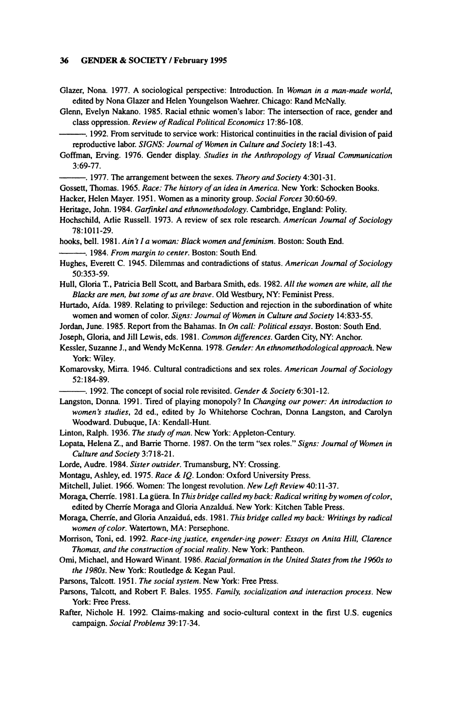#### **36 GENDER** & SOCIETY / February 1995

Glazer, Nona. 1977. A sociological perspective: Introduction. In *Woman in a man-made world,*  edited by Nona Glazer and Helen Youngelson Waehrer. Chicago: Rand McNally.

Glenn, Evelyn Nakano. 1985. Racial ethnic women's labor: The intersection of race, gender and class oppression. *Review of Radical Polirical Economics* 17:86-108.

. 1992. From servitude to service work: Historical continuities in the racial division of paid reproductive labor. *SIGNS: Journal of Women in Culture and Society* 18:l-43.

Goffman, Erving. 1976. Gender display. *Studies in the Anthropology of Ksual Communication*  3:69-77.

. 1977. The arrangement between the sexes. *Theory* and *Society* 4:301-31.

Gossett, Thomas. 1965. *Race: The history of an idea in America.* New York: Schocken Books.

Hacker, Helen Mayer. 1951. Women as a minority group. *Social Forces* 30:60-69.

Heritage, John. 1984. *Garfinkel* and *ethnomethodology.*Cambridge, England: Polity.

Hochschild, Arlie Russell. 1973. A review of sex role research. *American Journal of Sociology*  78:lOll-29.

hooks, bell. 1981. *Ain'f I a woman: Black women andfeminism.* Boston: South End.

. 1984. *From margin to center.* Boston: South End.

Hughes, Everett C. 1945. Dilemmas and contradictions of status. *American Journal of Sociology*  50:353-59.

Hull, Gloria T., Patricia Bell Scott, and Barbara Smith, eds. 1982. *All the women are white, all the Bkk are men, but some of us are brave.* Old Westbury, **NY:**Feminist Press.

Hurtado, Aida. 1989. Relating to privilege: Seduction and rejection in the subordination of white women and women of color. *Signs: Joumul of Women in Culture and Society* 14:833-55.

Jordan, June. 1985. Report from the Bahamas. In *On call: Political essays.* Boston: South End.

Joseph, Gloria, and Jill Lewis, eds. 1981. *Common dlTerences.* Garden City, **NY:** Anchor.

Kessler, Suzanne J., and Wendy McKenna. 1978. *Gender: An ethnomethodological approach.* New York: Wiley.

Komarovsky, Mirra. 1946. Cultural contradictions and sex roles. *American Journal of Sociology*  52:184-89.

. 1992. The concept of social role revisited. *Gender* & *Society* 6:301-12.

Langston, Donna. 1991. Tired of playing monopoly? In *Changing our powec An introduction to women's studies,* 2d ed., edited by Jo Whitehorse Cochran, Donna Langston, and Carolyn Woodward. Dubuque, IA: Kendall-Hunt.

Linton, Ralph. 1936. *The study of man.* New York: Appleton-Century.

Lopata, Helena Z., and Barrie Thorne. 1987. On the term "sex roles." *Signs: Journal of Women in Culture and Society* 3:718-21.

Lorde, Audre. 1984. *Sister outsider.* Trumansburg,*NY:* Crossing.

Montagu, Ashley, ed. 1975. *Race* & *IQ.* London: Oxford University Press.

Mitchell, Juliet. 1966. Women: The longest revolution. *New Left Review 40:11-37*.

Moraga, Chem'e. 1981. La giiera. In *This bridge calledmy back: Radical writing by women of color,*  edited by Cherríe Moraga and Gloria Anzalduá. New York: Kitchen Table Press.

Moraga, Cherríe, and Gloria Anzaiduá, eds. 1981. *This bridge called my back: Writings by radical women of color.* Watertown, *MA:* Persephone.

Morrison, Toni, ed. 1992. *Race-ing justice, engender-ing power: Essays on Anita Hill, Clarence Thomas, and the construction of social reality.* New York: Pantheon.

Omi, Michael, and Howard Winant. 1986. *Racial formation in the United States from the 1960s to the 1980s.* New York: Routledge & Kegan Paul.

Parsons, Talcott. 1951. *The social system.* New York: Free Press.

Parsons, Talcott, and Robert F. Bales. 1955. *Family, socialization* and *interaction process.* New York: Free Press.

Rafter, Nichole H. 1992. Claims-making and socio-cultural context in the first U.S. eugenics campaign. *Social Problems* 39:17-34.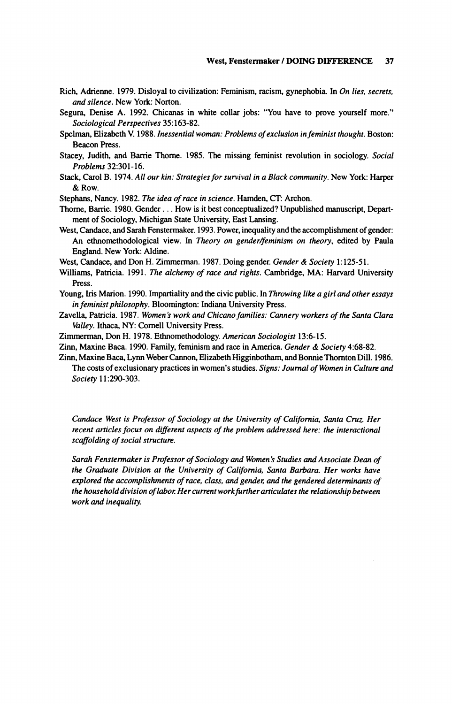- Rich, Adrienne. 1979. Disloyal to civilization: Feminism, racism, gynephobia. In *On lies, secrets,*  and silence. New York: Norton.
- Segura, Denise A. 1992. Chicanas in white collar jobs: "You have to prove yourself more." *Sociological Perspectives* 35:163-82.
- Spelman, Elizabeth V. 1988.*Inessential woman: Problems of exclusion in feminist thought.* Boston: Beacon Press.
- Stacey, Judith, and Barrie Thome. 1985. The missing feminist revolution in sociology. *Social Problems* 32:301-16.
- Stack, Carol B. 1974. All our kin: Strategies for survival in a Black community. New York: Harper & Row.
- Stephans, Nancy. 1982. *The idea of race in science.* Hamden, CT: Archon.
- Thome, Barrie. 1980. Gender. .. How is it best conceptualized? Unpublished manuscript, Department of Sociology, Michigan State University, East Lansing.
- West, Candace, and Sarah Fenstermaker. 1993. Power, inequality and the accomplishment of gender: An ethnomethodological view. In *Theory on gender/feminism on theory*, edited by Paula England. New York: Aldine.
- Wesl Candace, and Don H. Zimmerman. 1987. Doing gender. *Gender* & *Society* 1: 125-51.
- Williams, Patricia. 1991. *The alchemy of race and rights.* Cambridge, MA: Harvard University Press.
- Young, Iris Mation. 1990. Impartiality and the civic public. In *Throwing like a girl and other essays in feminist philosophy.* Bloomington: Indiana University Press.
- Zavella, Patricia. 1987. *Women's work and Chicano families: Cannery workers of the Santa Clara Valley.*Ithaca, **NY:**Cornell University Press.
- Zimmerman, Don H. 1978. Ethnomethodology. *American Sociologist* 13:6-15.
- Zinn, Maxine Baca. 1990. Family, feminism and race in America. *Gender* & *Society* 4:68-82.
- Zinn, Maxine Baca, Lynn Weber Cannon, Elizabeth Higginbotham, and Bonnie Thomton Dill. 1986. The costs of exclusionary practices in women's studies. *Signs: Journal of Women in Culture and Society* 11 :290-303.

*Candace West is Professor of Sociology at the University of California, Santa Cruz, Her recent articles focus on different aspects of the problem addressed here: the interactional scaffolding of social structure.* 

*Sarah Fenstermaker is Professor of Sociology* **and** *Women's Studies* **and** *Associate Dean of the Graduate Division at the University of California, Santa Barbara. Her works have explored the accomplishments of race, class, and gendes and the gendered determinants of the householddivision of labor: Her current workfurther articulates the relationship berween work and inequality.*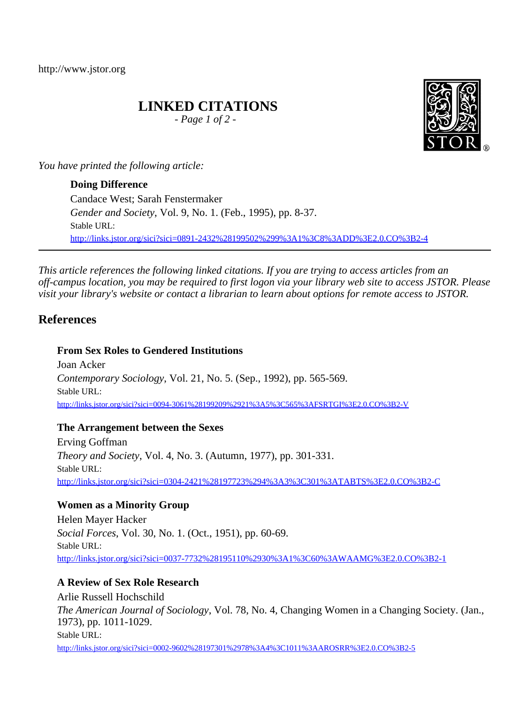http://www.jstor.org

# **LINKED CITATIONS**

*- Page 1 of 2 -*



*You have printed the following article:*

**Doing Difference** Candace West; Sarah Fenstermaker *Gender and Society*, Vol. 9, No. 1. (Feb., 1995), pp. 8-37. Stable URL: [http://links.jstor.org/sici?sici=0891-2432%28199502%299%3A1%3C8%3ADD%3E2.0.CO%3B2-4](http://links.jstor.org/sici?sici=0891-2432%28199502%299%3A1%3C8%3ADD%3E2.0.CO%3B2-4&origin=JSTOR-pdf)

*This article references the following linked citations. If you are trying to access articles from an off-campus location, you may be required to first logon via your library web site to access JSTOR. Please visit your library's website or contact a librarian to learn about options for remote access to JSTOR.*

# **References**

# **From Sex Roles to Gendered Institutions**

Joan Acker *Contemporary Sociology*, Vol. 21, No. 5. (Sep., 1992), pp. 565-569. Stable URL: [http://links.jstor.org/sici?sici=0094-3061%28199209%2921%3A5%3C565%3AFSRTGI%3E2.0.CO%3B2-V](http://links.jstor.org/sici?sici=0094-3061%28199209%2921%3A5%3C565%3AFSRTGI%3E2.0.CO%3B2-V&origin=JSTOR-pdf)

# **The Arrangement between the Sexes**

Erving Goffman *Theory and Society*, Vol. 4, No. 3. (Autumn, 1977), pp. 301-331. Stable URL: [http://links.jstor.org/sici?sici=0304-2421%28197723%294%3A3%3C301%3ATABTS%3E2.0.CO%3B2-C](http://links.jstor.org/sici?sici=0304-2421%28197723%294%3A3%3C301%3ATABTS%3E2.0.CO%3B2-C&origin=JSTOR-pdf)

# **Women as a Minority Group**

Helen Mayer Hacker *Social Forces*, Vol. 30, No. 1. (Oct., 1951), pp. 60-69. Stable URL: [http://links.jstor.org/sici?sici=0037-7732%28195110%2930%3A1%3C60%3AWAAMG%3E2.0.CO%3B2-1](http://links.jstor.org/sici?sici=0037-7732%28195110%2930%3A1%3C60%3AWAAMG%3E2.0.CO%3B2-1&origin=JSTOR-pdf)

# **A Review of Sex Role Research**

Arlie Russell Hochschild *The American Journal of Sociology*, Vol. 78, No. 4, Changing Women in a Changing Society. (Jan., 1973), pp. 1011-1029. Stable URL: [http://links.jstor.org/sici?sici=0002-9602%28197301%2978%3A4%3C1011%3AAROSRR%3E2.0.CO%3B2-5](http://links.jstor.org/sici?sici=0002-9602%28197301%2978%3A4%3C1011%3AAROSRR%3E2.0.CO%3B2-5&origin=JSTOR-pdf)